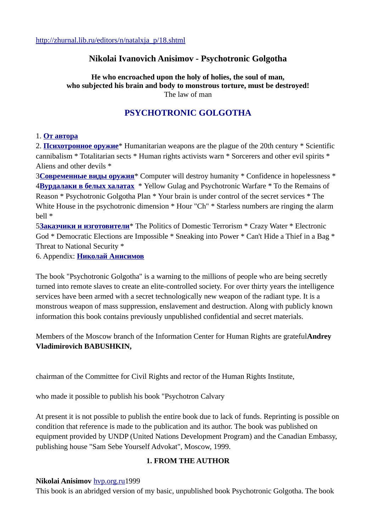### **Nikolai Ivanovich Anisimov - Psychotronic Golgotha**

**He who encroached upon the holy of holies, the soul of man, who subjected his brain and body to monstrous torture, must be destroyed!** The law of man

## **PSYCHOTRONIC GOLGOTHA**

#### 1. **От автора**

2. **Психотронное оружие**\* Humanitarian weapons are the plague of the 20th century \* Scientific cannibalism \* Totalitarian sects \* Human rights activists warn \* Sorcerers and other evil spirits \* Aliens and other devils \*

3**Современные виды оружия**\* Computer will destroy humanity \* Confidence in hopelessness \* 4**Вурдалаки в белых халатах** \* Yellow Gulag and Psychotronic Warfare \* To the Remains of Reason \* Psychotronic Golgotha Plan \* Your brain is under control of the secret services \* The White House in the psychotronic dimension \* Hour "Ch" \* Starless numbers are ringing the alarm bell \*

5**Заказчики и изготовители**\* The Politics of Domestic Terrorism \* Crazy Water \* Electronic God \* Democratic Elections are Impossible \* Sneaking into Power \* Can't Hide a Thief in a Bag \* Threat to National Security \*

6. Appendix: **Николай Анисимов**

The book "Psychotronic Golgotha" is a warning to the millions of people who are being secretly turned into remote slaves to create an elite-controlled society. For over thirty years the intelligence services have been armed with a secret technologically new weapon of the radiant type. It is a monstrous weapon of mass suppression, enslavement and destruction. Along with publicly known information this book contains previously unpublished confidential and secret materials.

Members of the Moscow branch of the Information Center for Human Rights are grateful**Andrey Vladimirovich BABUSHKIN,** 

chairman of the Committee for Civil Rights and rector of the Human Rights Institute,

who made it possible to publish his book "Psychotron Calvary

At present it is not possible to publish the entire book due to lack of funds. Reprinting is possible on condition that reference is made to the publication and its author. The book was published on equipment provided by UNDP (United Nations Development Program) and the Canadian Embassy, publishing house "Sam Sebe Yourself Advokat", Moscow, 1999.

#### **1. FROM THE AUTHOR**

#### **Nikolai Anisimov** hvp.org.ru1999

This book is an abridged version of my basic, unpublished book Psychotronic Golgotha. The book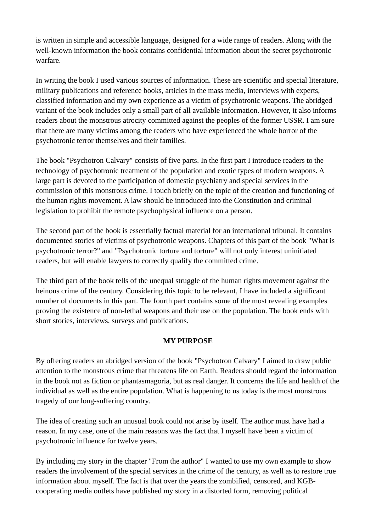is written in simple and accessible language, designed for a wide range of readers. Along with the well-known information the book contains confidential information about the secret psychotronic warfare.

In writing the book I used various sources of information. These are scientific and special literature, military publications and reference books, articles in the mass media, interviews with experts, classified information and my own experience as a victim of psychotronic weapons. The abridged variant of the book includes only a small part of all available information. However, it also informs readers about the monstrous atrocity committed against the peoples of the former USSR. I am sure that there are many victims among the readers who have experienced the whole horror of the psychotronic terror themselves and their families.

The book "Psychotron Calvary" consists of five parts. In the first part I introduce readers to the technology of psychotronic treatment of the population and exotic types of modern weapons. A large part is devoted to the participation of domestic psychiatry and special services in the commission of this monstrous crime. I touch briefly on the topic of the creation and functioning of the human rights movement. A law should be introduced into the Constitution and criminal legislation to prohibit the remote psychophysical influence on a person.

The second part of the book is essentially factual material for an international tribunal. It contains documented stories of victims of psychotronic weapons. Chapters of this part of the book "What is psychotronic terror?" and "Psychotronic torture and torture" will not only interest uninitiated readers, but will enable lawyers to correctly qualify the committed crime.

The third part of the book tells of the unequal struggle of the human rights movement against the heinous crime of the century. Considering this topic to be relevant, I have included a significant number of documents in this part. The fourth part contains some of the most revealing examples proving the existence of non-lethal weapons and their use on the population. The book ends with short stories, interviews, surveys and publications.

#### **MY PURPOSE**

By offering readers an abridged version of the book "Psychotron Calvary" I aimed to draw public attention to the monstrous crime that threatens life on Earth. Readers should regard the information in the book not as fiction or phantasmagoria, but as real danger. It concerns the life and health of the individual as well as the entire population. What is happening to us today is the most monstrous tragedy of our long-suffering country.

The idea of creating such an unusual book could not arise by itself. The author must have had a reason. In my case, one of the main reasons was the fact that I myself have been a victim of psychotronic influence for twelve years.

By including my story in the chapter "From the author" I wanted to use my own example to show readers the involvement of the special services in the crime of the century, as well as to restore true information about myself. The fact is that over the years the zombified, censored, and KGBcooperating media outlets have published my story in a distorted form, removing political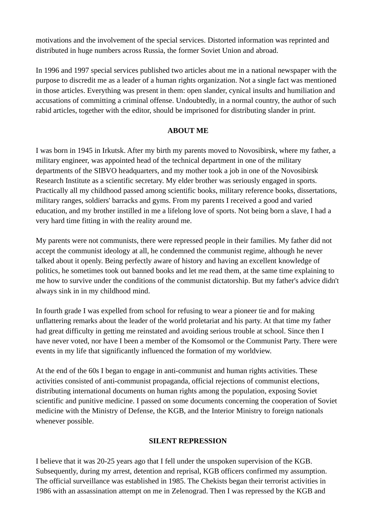motivations and the involvement of the special services. Distorted information was reprinted and distributed in huge numbers across Russia, the former Soviet Union and abroad.

In 1996 and 1997 special services published two articles about me in a national newspaper with the purpose to discredit me as a leader of a human rights organization. Not a single fact was mentioned in those articles. Everything was present in them: open slander, cynical insults and humiliation and accusations of committing a criminal offense. Undoubtedly, in a normal country, the author of such rabid articles, together with the editor, should be imprisoned for distributing slander in print.

### **ABOUT ME**

I was born in 1945 in Irkutsk. After my birth my parents moved to Novosibirsk, where my father, a military engineer, was appointed head of the technical department in one of the military departments of the SIBVO headquarters, and my mother took a job in one of the Novosibirsk Research Institute as a scientific secretary. My elder brother was seriously engaged in sports. Practically all my childhood passed among scientific books, military reference books, dissertations, military ranges, soldiers' barracks and gyms. From my parents I received a good and varied education, and my brother instilled in me a lifelong love of sports. Not being born a slave, I had a very hard time fitting in with the reality around me.

My parents were not communists, there were repressed people in their families. My father did not accept the communist ideology at all, he condemned the communist regime, although he never talked about it openly. Being perfectly aware of history and having an excellent knowledge of politics, he sometimes took out banned books and let me read them, at the same time explaining to me how to survive under the conditions of the communist dictatorship. But my father's advice didn't always sink in in my childhood mind.

In fourth grade I was expelled from school for refusing to wear a pioneer tie and for making unflattering remarks about the leader of the world proletariat and his party. At that time my father had great difficulty in getting me reinstated and avoiding serious trouble at school. Since then I have never voted, nor have I been a member of the Komsomol or the Communist Party. There were events in my life that significantly influenced the formation of my worldview.

At the end of the 60s I began to engage in anti-communist and human rights activities. These activities consisted of anti-communist propaganda, official rejections of communist elections, distributing international documents on human rights among the population, exposing Soviet scientific and punitive medicine. I passed on some documents concerning the cooperation of Soviet medicine with the Ministry of Defense, the KGB, and the Interior Ministry to foreign nationals whenever possible.

#### **SILENT REPRESSION**

I believe that it was 20-25 years ago that I fell under the unspoken supervision of the KGB. Subsequently, during my arrest, detention and reprisal, KGB officers confirmed my assumption. The official surveillance was established in 1985. The Chekists began their terrorist activities in 1986 with an assassination attempt on me in Zelenograd. Then I was repressed by the KGB and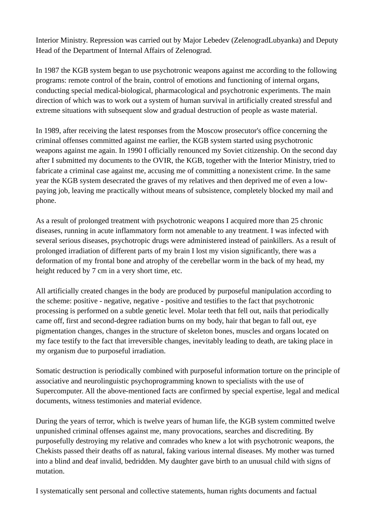Interior Ministry. Repression was carried out by Major Lebedev (ZelenogradLubyanka) and Deputy Head of the Department of Internal Affairs of Zelenograd.

In 1987 the KGB system began to use psychotronic weapons against me according to the following programs: remote control of the brain, control of emotions and functioning of internal organs, conducting special medical-biological, pharmacological and psychotronic experiments. The main direction of which was to work out a system of human survival in artificially created stressful and extreme situations with subsequent slow and gradual destruction of people as waste material.

In 1989, after receiving the latest responses from the Moscow prosecutor's office concerning the criminal offenses committed against me earlier, the KGB system started using psychotronic weapons against me again. In 1990 I officially renounced my Soviet citizenship. On the second day after I submitted my documents to the OVIR, the KGB, together with the Interior Ministry, tried to fabricate a criminal case against me, accusing me of committing a nonexistent crime. In the same year the KGB system desecrated the graves of my relatives and then deprived me of even a lowpaying job, leaving me practically without means of subsistence, completely blocked my mail and phone.

As a result of prolonged treatment with psychotronic weapons I acquired more than 25 chronic diseases, running in acute inflammatory form not amenable to any treatment. I was infected with several serious diseases, psychotropic drugs were administered instead of painkillers. As a result of prolonged irradiation of different parts of my brain I lost my vision significantly, there was a deformation of my frontal bone and atrophy of the cerebellar worm in the back of my head, my height reduced by 7 cm in a very short time, etc.

All artificially created changes in the body are produced by purposeful manipulation according to the scheme: positive - negative, negative - positive and testifies to the fact that psychotronic processing is performed on a subtle genetic level. Molar teeth that fell out, nails that periodically came off, first and second-degree radiation burns on my body, hair that began to fall out, eye pigmentation changes, changes in the structure of skeleton bones, muscles and organs located on my face testify to the fact that irreversible changes, inevitably leading to death, are taking place in my organism due to purposeful irradiation.

Somatic destruction is periodically combined with purposeful information torture on the principle of associative and neurolinguistic psychoprogramming known to specialists with the use of Supercomputer. All the above-mentioned facts are confirmed by special expertise, legal and medical documents, witness testimonies and material evidence.

During the years of terror, which is twelve years of human life, the KGB system committed twelve unpunished criminal offenses against me, many provocations, searches and discrediting. By purposefully destroying my relative and comrades who knew a lot with psychotronic weapons, the Chekists passed their deaths off as natural, faking various internal diseases. My mother was turned into a blind and deaf invalid, bedridden. My daughter gave birth to an unusual child with signs of mutation.

I systematically sent personal and collective statements, human rights documents and factual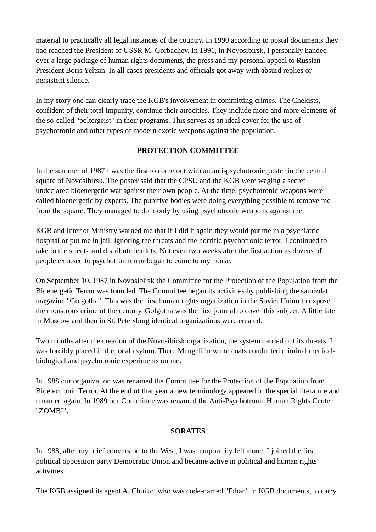material to practically all legal instances of the country. In 1990 according to postal documents they had reached the President of USSR M. Gorbachev. In 1991, in Novosibirsk, I personally handed over a large package of human rights documents, the press and my personal appeal to Russian President Boris Yeltsin. In all cases presidents and officials got away with absurd replies or persistent silence.

In my story one can clearly trace the KGB's involvement in committing crimes. The Chekists, confident of their total impunity, continue their atrocities. They include more and more elements of the so-called "poltergeist" in their programs. This serves as an ideal cover for the use of psychotronic and other types of modern exotic weapons against the population.

### **PROTECTION COMMITTEE**

In the summer of 1987 I was the first to come out with an anti-psychotronic poster in the central square of Novosibirsk. The poster said that the CPSU and the KGB were waging a secret undeclared bioenergetic war against their own people. At the time, psychotronic weapons were called bioenergetic by experts. The punitive bodies were doing everything possible to remove me from the square. They managed to do it only by using psychotronic weapons against me.

KGB and Interior Ministry warned me that if I did it again they would put me in a psychiatric hospital or put me in jail. Ignoring the threats and the horrific psychotronic terror, I continued to take to the streets and distribute leaflets. Not even two weeks after the first action as dozens of people exposed to psychotron terror began to come to my house.

On September 10, 1987 in Novosibirsk the Committee for the Protection of the Population from the Bioenergetic Terror was founded. The Committee began its activities by publishing the samizdat magazine "Golgotha". This was the first human rights organization in the Soviet Union to expose the monstrous crime of the century. Golgotha was the first journal to cover this subject. A little later in Moscow and then in St. Petersburg identical organizations were created.

Two months after the creation of the Novosibirsk organization, the system carried out its threats. I was forcibly placed in the local asylum. There Mengeli in white coats conducted criminal medicalbiological and psychotronic experiments on me.

In 1988 our organization was renamed the Committee for the Protection of the Population from Bioelectronic Terror. At the end of that year a new terminology appeared in the special literature and renamed again. In 1989 our Committee was renamed the Anti-Psychotronic Human Rights Center "ZOMBI".

#### **SORATES**

In 1988, after my brief conversion to the West, I was temporarily left alone. I joined the first political opposition party Democratic Union and became active in political and human rights activities.

The KGB assigned its agent A. Chuiko, who was code-named "Ethan" in KGB documents, to carry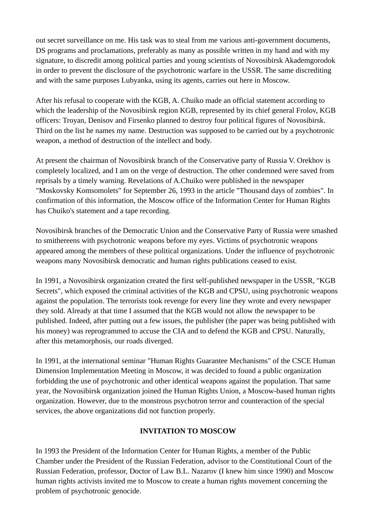out secret surveillance on me. His task was to steal from me various anti-government documents, DS programs and proclamations, preferably as many as possible written in my hand and with my signature, to discredit among political parties and young scientists of Novosibirsk Akademgorodok in order to prevent the disclosure of the psychotronic warfare in the USSR. The same discrediting and with the same purposes Lubyanka, using its agents, carries out here in Moscow.

After his refusal to cooperate with the KGB, A. Chuiko made an official statement according to which the leadership of the Novosibirsk region KGB, represented by its chief general Frolov, KGB officers: Troyan, Denisov and Firsenko planned to destroy four political figures of Novosibirsk. Third on the list he names my name. Destruction was supposed to be carried out by a psychotronic weapon, a method of destruction of the intellect and body.

At present the chairman of Novosibirsk branch of the Conservative party of Russia V. Orekhov is completely localized, and I am on the verge of destruction. The other condemned were saved from reprisals by a timely warning. Revelations of A.Chuiko were published in the newspaper "Moskovsky Komsomolets" for September 26, 1993 in the article "Thousand days of zombies". In confirmation of this information, the Moscow office of the Information Center for Human Rights has Chuiko's statement and a tape recording.

Novosibirsk branches of the Democratic Union and the Conservative Party of Russia were smashed to smithereens with psychotronic weapons before my eyes. Victims of psychotronic weapons appeared among the members of these political organizations. Under the influence of psychotronic weapons many Novosibirsk democratic and human rights publications ceased to exist.

In 1991, a Novosibirsk organization created the first self-published newspaper in the USSR, "KGB Secrets", which exposed the criminal activities of the KGB and CPSU, using psychotronic weapons against the population. The terrorists took revenge for every line they wrote and every newspaper they sold. Already at that time I assumed that the KGB would not allow the newspaper to be published. Indeed, after putting out a few issues, the publisher (the paper was being published with his money) was reprogrammed to accuse the CIA and to defend the KGB and CPSU. Naturally, after this metamorphosis, our roads diverged.

In 1991, at the international seminar "Human Rights Guarantee Mechanisms" of the CSCE Human Dimension Implementation Meeting in Moscow, it was decided to found a public organization forbidding the use of psychotronic and other identical weapons against the population. That same year, the Novosibirsk organization joined the Human Rights Union, a Moscow-based human rights organization. However, due to the monstrous psychotron terror and counteraction of the special services, the above organizations did not function properly.

## **INVITATION TO MOSCOW**

In 1993 the President of the Information Center for Human Rights, a member of the Public Chamber under the President of the Russian Federation, advisor to the Constitutional Court of the Russian Federation, professor, Doctor of Law B.L. Nazarov (I knew him since 1990) and Moscow human rights activists invited me to Moscow to create a human rights movement concerning the problem of psychotronic genocide.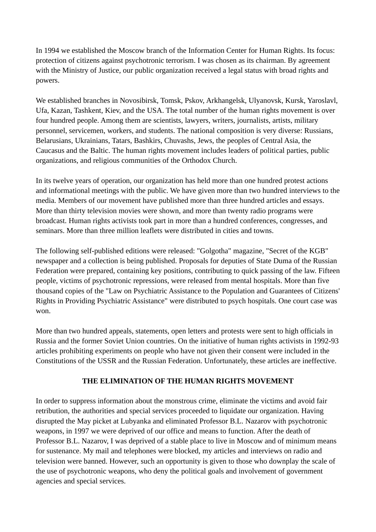In 1994 we established the Moscow branch of the Information Center for Human Rights. Its focus: protection of citizens against psychotronic terrorism. I was chosen as its chairman. By agreement with the Ministry of Justice, our public organization received a legal status with broad rights and powers.

We established branches in Novosibirsk, Tomsk, Pskov, Arkhangelsk, Ulyanovsk, Kursk, Yaroslavl, Ufa, Kazan, Tashkent, Kiev, and the USA. The total number of the human rights movement is over four hundred people. Among them are scientists, lawyers, writers, journalists, artists, military personnel, servicemen, workers, and students. The national composition is very diverse: Russians, Belarusians, Ukrainians, Tatars, Bashkirs, Chuvashs, Jews, the peoples of Central Asia, the Caucasus and the Baltic. The human rights movement includes leaders of political parties, public organizations, and religious communities of the Orthodox Church.

In its twelve years of operation, our organization has held more than one hundred protest actions and informational meetings with the public. We have given more than two hundred interviews to the media. Members of our movement have published more than three hundred articles and essays. More than thirty television movies were shown, and more than twenty radio programs were broadcast. Human rights activists took part in more than a hundred conferences, congresses, and seminars. More than three million leaflets were distributed in cities and towns.

The following self-published editions were released: "Golgotha" magazine, "Secret of the KGB" newspaper and a collection is being published. Proposals for deputies of State Duma of the Russian Federation were prepared, containing key positions, contributing to quick passing of the law. Fifteen people, victims of psychotronic repressions, were released from mental hospitals. More than five thousand copies of the "Law on Psychiatric Assistance to the Population and Guarantees of Citizens' Rights in Providing Psychiatric Assistance" were distributed to psych hospitals. One court case was won.

More than two hundred appeals, statements, open letters and protests were sent to high officials in Russia and the former Soviet Union countries. On the initiative of human rights activists in 1992-93 articles prohibiting experiments on people who have not given their consent were included in the Constitutions of the USSR and the Russian Federation. Unfortunately, these articles are ineffective.

### **THE ELIMINATION OF THE HUMAN RIGHTS MOVEMENT**

In order to suppress information about the monstrous crime, eliminate the victims and avoid fair retribution, the authorities and special services proceeded to liquidate our organization. Having disrupted the May picket at Lubyanka and eliminated Professor B.L. Nazarov with psychotronic weapons, in 1997 we were deprived of our office and means to function. After the death of Professor B.L. Nazarov, I was deprived of a stable place to live in Moscow and of minimum means for sustenance. My mail and telephones were blocked, my articles and interviews on radio and television were banned. However, such an opportunity is given to those who downplay the scale of the use of psychotronic weapons, who deny the political goals and involvement of government agencies and special services.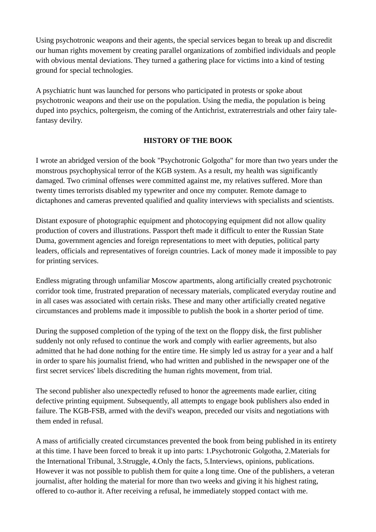Using psychotronic weapons and their agents, the special services began to break up and discredit our human rights movement by creating parallel organizations of zombified individuals and people with obvious mental deviations. They turned a gathering place for victims into a kind of testing ground for special technologies.

A psychiatric hunt was launched for persons who participated in protests or spoke about psychotronic weapons and their use on the population. Using the media, the population is being duped into psychics, poltergeism, the coming of the Antichrist, extraterrestrials and other fairy talefantasy devilry.

## **HISTORY OF THE BOOK**

I wrote an abridged version of the book "Psychotronic Golgotha" for more than two years under the monstrous psychophysical terror of the KGB system. As a result, my health was significantly damaged. Two criminal offenses were committed against me, my relatives suffered. More than twenty times terrorists disabled my typewriter and once my computer. Remote damage to dictaphones and cameras prevented qualified and quality interviews with specialists and scientists.

Distant exposure of photographic equipment and photocopying equipment did not allow quality production of covers and illustrations. Passport theft made it difficult to enter the Russian State Duma, government agencies and foreign representations to meet with deputies, political party leaders, officials and representatives of foreign countries. Lack of money made it impossible to pay for printing services.

Endless migrating through unfamiliar Moscow apartments, along artificially created psychotronic corridor took time, frustrated preparation of necessary materials, complicated everyday routine and in all cases was associated with certain risks. These and many other artificially created negative circumstances and problems made it impossible to publish the book in a shorter period of time.

During the supposed completion of the typing of the text on the floppy disk, the first publisher suddenly not only refused to continue the work and comply with earlier agreements, but also admitted that he had done nothing for the entire time. He simply led us astray for a year and a half in order to spare his journalist friend, who had written and published in the newspaper one of the first secret services' libels discrediting the human rights movement, from trial.

The second publisher also unexpectedly refused to honor the agreements made earlier, citing defective printing equipment. Subsequently, all attempts to engage book publishers also ended in failure. The KGB-FSB, armed with the devil's weapon, preceded our visits and negotiations with them ended in refusal.

A mass of artificially created circumstances prevented the book from being published in its entirety at this time. I have been forced to break it up into parts: 1.Psychotronic Golgotha, 2.Materials for the International Tribunal, 3.Struggle, 4.Only the facts, 5.Interviews, opinions, publications. However it was not possible to publish them for quite a long time. One of the publishers, a veteran journalist, after holding the material for more than two weeks and giving it his highest rating, offered to co-author it. After receiving a refusal, he immediately stopped contact with me.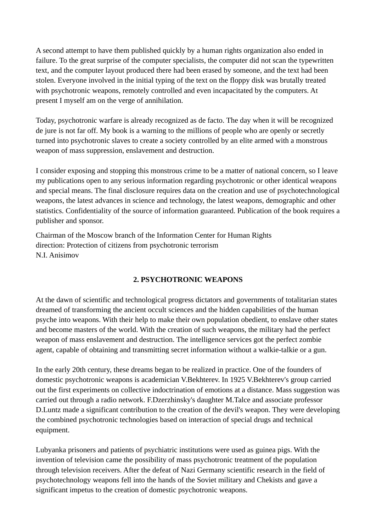A second attempt to have them published quickly by a human rights organization also ended in failure. To the great surprise of the computer specialists, the computer did not scan the typewritten text, and the computer layout produced there had been erased by someone, and the text had been stolen. Everyone involved in the initial typing of the text on the floppy disk was brutally treated with psychotronic weapons, remotely controlled and even incapacitated by the computers. At present I myself am on the verge of annihilation.

Today, psychotronic warfare is already recognized as de facto. The day when it will be recognized de jure is not far off. My book is a warning to the millions of people who are openly or secretly turned into psychotronic slaves to create a society controlled by an elite armed with a monstrous weapon of mass suppression, enslavement and destruction.

I consider exposing and stopping this monstrous crime to be a matter of national concern, so I leave my publications open to any serious information regarding psychotronic or other identical weapons and special means. The final disclosure requires data on the creation and use of psychotechnological weapons, the latest advances in science and technology, the latest weapons, demographic and other statistics. Confidentiality of the source of information guaranteed. Publication of the book requires a publisher and sponsor.

Chairman of the Moscow branch of the Information Center for Human Rights direction: Protection of citizens from psychotronic terrorism N.I. Anisimov

## **2. PSYCHOTRONIC WEAPONS**

At the dawn of scientific and technological progress dictators and governments of totalitarian states dreamed of transforming the ancient occult sciences and the hidden capabilities of the human psyche into weapons. With their help to make their own population obedient, to enslave other states and become masters of the world. With the creation of such weapons, the military had the perfect weapon of mass enslavement and destruction. The intelligence services got the perfect zombie agent, capable of obtaining and transmitting secret information without a walkie-talkie or a gun.

In the early 20th century, these dreams began to be realized in practice. One of the founders of domestic psychotronic weapons is academician V.Bekhterev. In 1925 V.Bekhterev's group carried out the first experiments on collective indoctrination of emotions at a distance. Mass suggestion was carried out through a radio network. F.Dzerzhinsky's daughter M.Talce and associate professor D.Luntz made a significant contribution to the creation of the devil's weapon. They were developing the combined psychotronic technologies based on interaction of special drugs and technical equipment.

Lubyanka prisoners and patients of psychiatric institutions were used as guinea pigs. With the invention of television came the possibility of mass psychotronic treatment of the population through television receivers. After the defeat of Nazi Germany scientific research in the field of psychotechnology weapons fell into the hands of the Soviet military and Chekists and gave a significant impetus to the creation of domestic psychotronic weapons.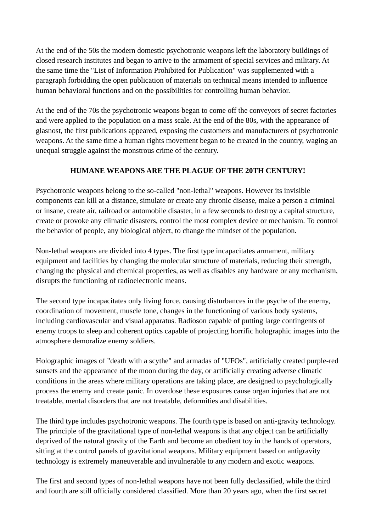At the end of the 50s the modern domestic psychotronic weapons left the laboratory buildings of closed research institutes and began to arrive to the armament of special services and military. At the same time the "List of Information Prohibited for Publication" was supplemented with a paragraph forbidding the open publication of materials on technical means intended to influence human behavioral functions and on the possibilities for controlling human behavior.

At the end of the 70s the psychotronic weapons began to come off the conveyors of secret factories and were applied to the population on a mass scale. At the end of the 80s, with the appearance of glasnost, the first publications appeared, exposing the customers and manufacturers of psychotronic weapons. At the same time a human rights movement began to be created in the country, waging an unequal struggle against the monstrous crime of the century.

## **HUMANE WEAPONS ARE THE PLAGUE OF THE 20TH CENTURY!**

Psychotronic weapons belong to the so-called "non-lethal" weapons. However its invisible components can kill at a distance, simulate or create any chronic disease, make a person a criminal or insane, create air, railroad or automobile disaster, in a few seconds to destroy a capital structure, create or provoke any climatic disasters, control the most complex device or mechanism. To control the behavior of people, any biological object, to change the mindset of the population.

Non-lethal weapons are divided into 4 types. The first type incapacitates armament, military equipment and facilities by changing the molecular structure of materials, reducing their strength, changing the physical and chemical properties, as well as disables any hardware or any mechanism, disrupts the functioning of radioelectronic means.

The second type incapacitates only living force, causing disturbances in the psyche of the enemy, coordination of movement, muscle tone, changes in the functioning of various body systems, including cardiovascular and visual apparatus. Radioson capable of putting large contingents of enemy troops to sleep and coherent optics capable of projecting horrific holographic images into the atmosphere demoralize enemy soldiers.

Holographic images of "death with a scythe" and armadas of "UFOs", artificially created purple-red sunsets and the appearance of the moon during the day, or artificially creating adverse climatic conditions in the areas where military operations are taking place, are designed to psychologically process the enemy and create panic. In overdose these exposures cause organ injuries that are not treatable, mental disorders that are not treatable, deformities and disabilities.

The third type includes psychotronic weapons. The fourth type is based on anti-gravity technology. The principle of the gravitational type of non-lethal weapons is that any object can be artificially deprived of the natural gravity of the Earth and become an obedient toy in the hands of operators, sitting at the control panels of gravitational weapons. Military equipment based on antigravity technology is extremely maneuverable and invulnerable to any modern and exotic weapons.

The first and second types of non-lethal weapons have not been fully declassified, while the third and fourth are still officially considered classified. More than 20 years ago, when the first secret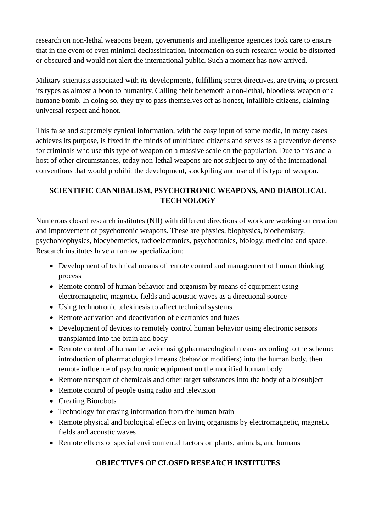research on non-lethal weapons began, governments and intelligence agencies took care to ensure that in the event of even minimal declassification, information on such research would be distorted or obscured and would not alert the international public. Such a moment has now arrived.

Military scientists associated with its developments, fulfilling secret directives, are trying to present its types as almost a boon to humanity. Calling their behemoth a non-lethal, bloodless weapon or a humane bomb. In doing so, they try to pass themselves off as honest, infallible citizens, claiming universal respect and honor.

This false and supremely cynical information, with the easy input of some media, in many cases achieves its purpose, is fixed in the minds of uninitiated citizens and serves as a preventive defense for criminals who use this type of weapon on a massive scale on the population. Due to this and a host of other circumstances, today non-lethal weapons are not subject to any of the international conventions that would prohibit the development, stockpiling and use of this type of weapon.

# **SCIENTIFIC CANNIBALISM, PSYCHOTRONIC WEAPONS, AND DIABOLICAL TECHNOLOGY**

Numerous closed research institutes (NII) with different directions of work are working on creation and improvement of psychotronic weapons. These are physics, biophysics, biochemistry, psychobiophysics, biocybernetics, radioelectronics, psychotronics, biology, medicine and space. Research institutes have a narrow specialization:

- Development of technical means of remote control and management of human thinking process
- Remote control of human behavior and organism by means of equipment using electromagnetic, magnetic fields and acoustic waves as a directional source
- Using technotronic telekinesis to affect technical systems
- Remote activation and deactivation of electronics and fuzes
- Development of devices to remotely control human behavior using electronic sensors transplanted into the brain and body
- Remote control of human behavior using pharmacological means according to the scheme: introduction of pharmacological means (behavior modifiers) into the human body, then remote influence of psychotronic equipment on the modified human body
- Remote transport of chemicals and other target substances into the body of a biosubject
- Remote control of people using radio and television
- Creating Biorobots
- Technology for erasing information from the human brain
- Remote physical and biological effects on living organisms by electromagnetic, magnetic fields and acoustic waves
- Remote effects of special environmental factors on plants, animals, and humans

# **OBJECTIVES OF CLOSED RESEARCH INSTITUTES**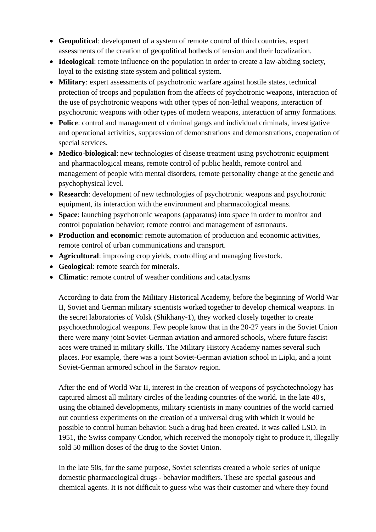- **Geopolitical**: development of a system of remote control of third countries, expert assessments of the creation of geopolitical hotbeds of tension and their localization.
- **Ideological**: remote influence on the population in order to create a law-abiding society, loyal to the existing state system and political system.
- **Military**: expert assessments of psychotronic warfare against hostile states, technical protection of troops and population from the affects of psychotronic weapons, interaction of the use of psychotronic weapons with other types of non-lethal weapons, interaction of psychotronic weapons with other types of modern weapons, interaction of army formations.
- **Police**: control and management of criminal gangs and individual criminals, investigative and operational activities, suppression of demonstrations and demonstrations, cooperation of special services.
- **Medico-biological**: new technologies of disease treatment using psychotronic equipment and pharmacological means, remote control of public health, remote control and management of people with mental disorders, remote personality change at the genetic and psychophysical level.
- **Research**: development of new technologies of psychotronic weapons and psychotronic equipment, its interaction with the environment and pharmacological means.
- **Space**: launching psychotronic weapons (apparatus) into space in order to monitor and control population behavior; remote control and management of astronauts.
- **Production and economic**: remote automation of production and economic activities, remote control of urban communications and transport.
- **Agricultural**: improving crop yields, controlling and managing livestock.
- **Geological**: remote search for minerals.
- **Climatic**: remote control of weather conditions and cataclysms

According to data from the Military Historical Academy, before the beginning of World War II, Soviet and German military scientists worked together to develop chemical weapons. In the secret laboratories of Volsk (Shikhany-1), they worked closely together to create psychotechnological weapons. Few people know that in the 20-27 years in the Soviet Union there were many joint Soviet-German aviation and armored schools, where future fascist aces were trained in military skills. The Military History Academy names several such places. For example, there was a joint Soviet-German aviation school in Lipki, and a joint Soviet-German armored school in the Saratov region.

After the end of World War II, interest in the creation of weapons of psychotechnology has captured almost all military circles of the leading countries of the world. In the late 40's, using the obtained developments, military scientists in many countries of the world carried out countless experiments on the creation of a universal drug with which it would be possible to control human behavior. Such a drug had been created. It was called LSD. In 1951, the Swiss company Condor, which received the monopoly right to produce it, illegally sold 50 million doses of the drug to the Soviet Union.

In the late 50s, for the same purpose, Soviet scientists created a whole series of unique domestic pharmacological drugs - behavior modifiers. These are special gaseous and chemical agents. It is not difficult to guess who was their customer and where they found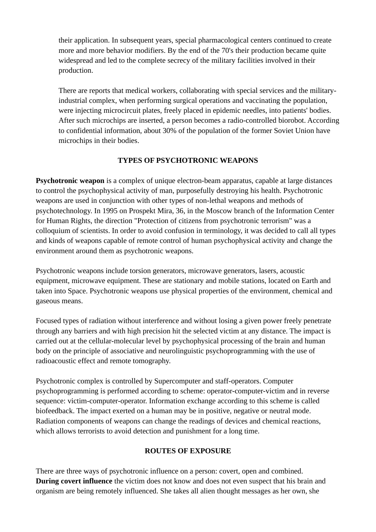their application. In subsequent years, special pharmacological centers continued to create more and more behavior modifiers. By the end of the 70's their production became quite widespread and led to the complete secrecy of the military facilities involved in their production.

There are reports that medical workers, collaborating with special services and the militaryindustrial complex, when performing surgical operations and vaccinating the population, were injecting microcircuit plates, freely placed in epidemic needles, into patients' bodies. After such microchips are inserted, a person becomes a radio-controlled biorobot. According to confidential information, about 30% of the population of the former Soviet Union have microchips in their bodies.

### **TYPES OF PSYCHOTRONIC WEAPONS**

**Psychotronic weapon** is a complex of unique electron-beam apparatus, capable at large distances to control the psychophysical activity of man, purposefully destroying his health. Psychotronic weapons are used in conjunction with other types of non-lethal weapons and methods of psychotechnology. In 1995 on Prospekt Mira, 36, in the Moscow branch of the Information Center for Human Rights, the direction "Protection of citizens from psychotronic terrorism" was a colloquium of scientists. In order to avoid confusion in terminology, it was decided to call all types and kinds of weapons capable of remote control of human psychophysical activity and change the environment around them as psychotronic weapons.

Psychotronic weapons include torsion generators, microwave generators, lasers, acoustic equipment, microwave equipment. These are stationary and mobile stations, located on Earth and taken into Space. Psychotronic weapons use physical properties of the environment, chemical and gaseous means.

Focused types of radiation without interference and without losing a given power freely penetrate through any barriers and with high precision hit the selected victim at any distance. The impact is carried out at the cellular-molecular level by psychophysical processing of the brain and human body on the principle of associative and neurolinguistic psychoprogramming with the use of radioacoustic effect and remote tomography.

Psychotronic complex is controlled by Supercomputer and staff-operators. Computer psychoprogramming is performed according to scheme: operator-computer-victim and in reverse sequence: victim-computer-operator. Information exchange according to this scheme is called biofeedback. The impact exerted on a human may be in positive, negative or neutral mode. Radiation components of weapons can change the readings of devices and chemical reactions, which allows terrorists to avoid detection and punishment for a long time.

## **ROUTES OF EXPOSURE**

There are three ways of psychotronic influence on a person: covert, open and combined. **During covert influence** the victim does not know and does not even suspect that his brain and organism are being remotely influenced. She takes all alien thought messages as her own, she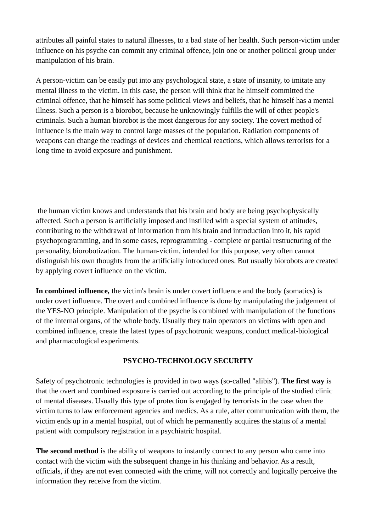attributes all painful states to natural illnesses, to a bad state of her health. Such person-victim under influence on his psyche can commit any criminal offence, join one or another political group under manipulation of his brain.

A person-victim can be easily put into any psychological state, a state of insanity, to imitate any mental illness to the victim. In this case, the person will think that he himself committed the criminal offence, that he himself has some political views and beliefs, that he himself has a mental illness. Such a person is a biorobot, because he unknowingly fulfills the will of other people's criminals. Such a human biorobot is the most dangerous for any society. The covert method of influence is the main way to control large masses of the population. Radiation components of weapons can change the readings of devices and chemical reactions, which allows terrorists for a long time to avoid exposure and punishment.

the human victim knows and understands that his brain and body are being psychophysically affected. Such a person is artificially imposed and instilled with a special system of attitudes, contributing to the withdrawal of information from his brain and introduction into it, his rapid psychoprogramming, and in some cases, reprogramming - complete or partial restructuring of the personality, biorobotization. The human-victim, intended for this purpose, very often cannot distinguish his own thoughts from the artificially introduced ones. But usually biorobots are created by applying covert influence on the victim.

**In combined influence,** the victim's brain is under covert influence and the body (somatics) is under overt influence. The overt and combined influence is done by manipulating the judgement of the YES-NO principle. Manipulation of the psyche is combined with manipulation of the functions of the internal organs, of the whole body. Usually they train operators on victims with open and combined influence, create the latest types of psychotronic weapons, conduct medical-biological and pharmacological experiments.

## **PSYCHO-TECHNOLOGY SECURITY**

Safety of psychotronic technologies is provided in two ways (so-called "alibis"). **The first way** is that the overt and combined exposure is carried out according to the principle of the studied clinic of mental diseases. Usually this type of protection is engaged by terrorists in the case when the victim turns to law enforcement agencies and medics. As a rule, after communication with them, the victim ends up in a mental hospital, out of which he permanently acquires the status of a mental patient with compulsory registration in a psychiatric hospital.

**The second method** is the ability of weapons to instantly connect to any person who came into contact with the victim with the subsequent change in his thinking and behavior. As a result, officials, if they are not even connected with the crime, will not correctly and logically perceive the information they receive from the victim.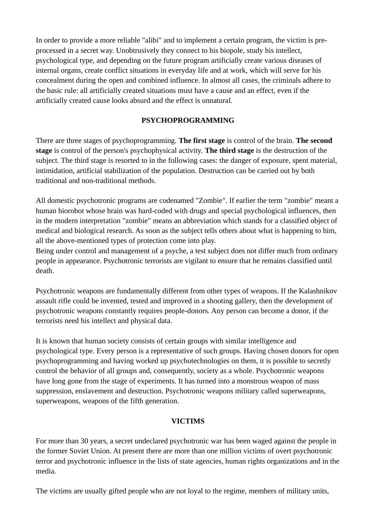In order to provide a more reliable "alibi" and to implement a certain program, the victim is preprocessed in a secret way. Unobtrusively they connect to his biopole, study his intellect, psychological type, and depending on the future program artificially create various diseases of internal organs, create conflict situations in everyday life and at work, which will serve for his concealment during the open and combined influence. In almost all cases, the criminals adhere to the basic rule: all artificially created situations must have a cause and an effect, even if the artificially created cause looks absurd and the effect is unnatural.

## **PSYCHOPROGRAMMING**

There are three stages of psychoprogramming. **The first stage** is control of the brain. **The second stage** is control of the person's psychophysical activity. **The third stage** is the destruction of the subject. The third stage is resorted to in the following cases: the danger of exposure, spent material, intimidation, artificial stabilization of the population. Destruction can be carried out by both traditional and non-traditional methods.

All domestic psychotronic programs are codenamed "Zombie". If earlier the term "zombie" meant a human biorobot whose brain was hard-coded with drugs and special psychological influences, then in the modern interpretation "zombie" means an abbreviation which stands for a classified object of medical and biological research. As soon as the subject tells others about what is happening to him, all the above-mentioned types of protection come into play.

Being under control and management of a psyche, a test subject does not differ much from ordinary people in appearance. Psychotronic terrorists are vigilant to ensure that he remains classified until death.

Psychotronic weapons are fundamentally different from other types of weapons. If the Kalashnikov assault rifle could be invented, tested and improved in a shooting gallery, then the development of psychotronic weapons constantly requires people-donors. Any person can become a donor, if the terrorists need his intellect and physical data.

It is known that human society consists of certain groups with similar intelligence and psychological type. Every person is a representative of such groups. Having chosen donors for open psychoprogramming and having worked up psychotechnologies on them, it is possible to secretly control the behavior of all groups and, consequently, society as a whole. Psychotronic weapons have long gone from the stage of experiments. It has turned into a monstrous weapon of mass suppression, enslavement and destruction. Psychotronic weapons military called superweapons, superweapons, weapons of the fifth generation.

#### **VICTIMS**

For more than 30 years, a secret undeclared psychotronic war has been waged against the people in the former Soviet Union. At present there are more than one million victims of overt psychotronic terror and psychotronic influence in the lists of state agencies, human rights organizations and in the media.

The victims are usually gifted people who are not loyal to the regime, members of military units,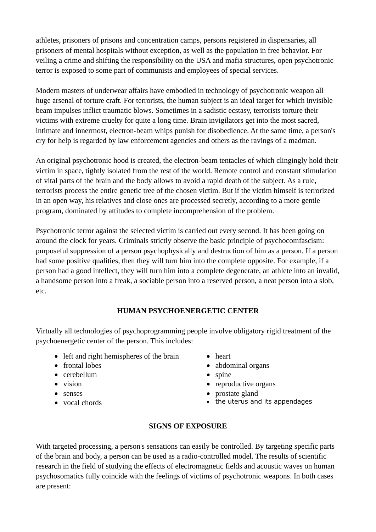athletes, prisoners of prisons and concentration camps, persons registered in dispensaries, all prisoners of mental hospitals without exception, as well as the population in free behavior. For veiling a crime and shifting the responsibility on the USA and mafia structures, open psychotronic terror is exposed to some part of communists and employees of special services.

Modern masters of underwear affairs have embodied in technology of psychotronic weapon all huge arsenal of torture craft. For terrorists, the human subject is an ideal target for which invisible beam impulses inflict traumatic blows. Sometimes in a sadistic ecstasy, terrorists torture their victims with extreme cruelty for quite a long time. Brain invigilators get into the most sacred, intimate and innermost, electron-beam whips punish for disobedience. At the same time, a person's cry for help is regarded by law enforcement agencies and others as the ravings of a madman.

An original psychotronic hood is created, the electron-beam tentacles of which clingingly hold their victim in space, tightly isolated from the rest of the world. Remote control and constant stimulation of vital parts of the brain and the body allows to avoid a rapid death of the subject. As a rule, terrorists process the entire genetic tree of the chosen victim. But if the victim himself is terrorized in an open way, his relatives and close ones are processed secretly, according to a more gentle program, dominated by attitudes to complete incomprehension of the problem.

Psychotronic terror against the selected victim is carried out every second. It has been going on around the clock for years. Criminals strictly observe the basic principle of psychocomfascism: purposeful suppression of a person psychophysically and destruction of him as a person. If a person had some positive qualities, then they will turn him into the complete opposite. For example, if a person had a good intellect, they will turn him into a complete degenerate, an athlete into an invalid, a handsome person into a freak, a sociable person into a reserved person, a neat person into a slob, etc.

#### **HUMAN PSYCHOENERGETIC CENTER**

Virtually all technologies of psychoprogramming people involve obligatory rigid treatment of the psychoenergetic center of the person. This includes:

- left and right hemispheres of the brain
- frontal lobes
- cerebellum
- vision
- senses
- vocal chords
- heart
- abdominal organs
- spine
- reproductive organs
- prostate gland
- the uterus and its appendages

## **SIGNS OF EXPOSURE**

With targeted processing, a person's sensations can easily be controlled. By targeting specific parts of the brain and body, a person can be used as a radio-controlled model. The results of scientific research in the field of studying the effects of electromagnetic fields and acoustic waves on human psychosomatics fully coincide with the feelings of victims of psychotronic weapons. In both cases are present: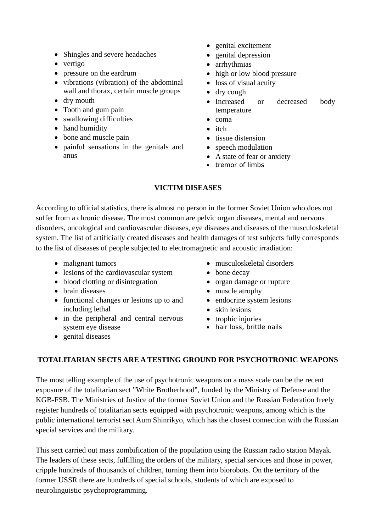- Shingles and severe headaches
- vertigo
- pressure on the eardrum
- vibrations (vibration) of the abdominal wall and thorax, certain muscle groups
- dry mouth
- Tooth and gum pain
- swallowing difficulties
- hand humidity
- bone and muscle pain
- painful sensations in the genitals and anus
- genital excitement
- genital depression
- arrhythmias
- high or low blood pressure
- loss of visual acuity
- dry cough
- Increased or decreased body temperature
- $\bullet$  coma
- itch
- tissue distension
- speech modulation
- A state of fear or anxiety
- tremor of limbs

#### **VICTIM DISEASES**

According to official statistics, there is almost no person in the former Soviet Union who does not suffer from a chronic disease. The most common are pelvic organ diseases, mental and nervous disorders, oncological and cardiovascular diseases, eye diseases and diseases of the musculoskeletal system. The list of artificially created diseases and health damages of test subjects fully corresponds to the list of diseases of people subjected to electromagnetic and acoustic irradiation:

- malignant tumors
- lesions of the cardiovascular system
- blood clotting or disintegration
- brain diseases
- functional changes or lesions up to and including lethal
- in the peripheral and central nervous system eye disease
- genital diseases
- musculoskeletal disorders
- bone decay
- organ damage or rupture
- muscle atrophy
- endocrine system lesions
- skin lesions
- trophic injuries
- hair loss, brittle nails

#### **TOTALITARIAN SECTS ARE A TESTING GROUND FOR PSYCHOTRONIC WEAPONS**

The most telling example of the use of psychotronic weapons on a mass scale can be the recent exposure of the totalitarian sect "White Brotherhood", funded by the Ministry of Defense and the KGB-FSB. The Ministries of Justice of the former Soviet Union and the Russian Federation freely register hundreds of totalitarian sects equipped with psychotronic weapons, among which is the public international terrorist sect Aum Shinrikyo, which has the closest connection with the Russian special services and the military.

This sect carried out mass zombification of the population using the Russian radio station Mayak. The leaders of these sects, fulfilling the orders of the military, special services and those in power, cripple hundreds of thousands of children, turning them into biorobots. On the territory of the former USSR there are hundreds of special schools, students of which are exposed to neurolinguistic psychoprogramming.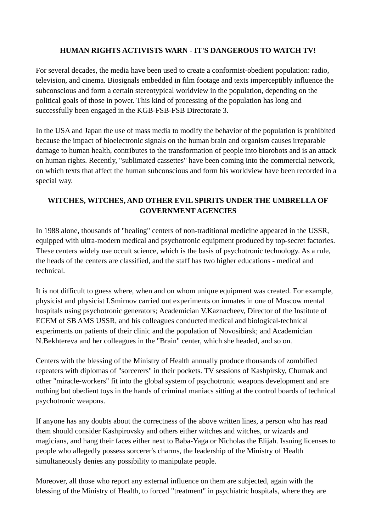## **HUMAN RIGHTS ACTIVISTS WARN - IT'S DANGEROUS TO WATCH TV!**

For several decades, the media have been used to create a conformist-obedient population: radio, television, and cinema. Biosignals embedded in film footage and texts imperceptibly influence the subconscious and form a certain stereotypical worldview in the population, depending on the political goals of those in power. This kind of processing of the population has long and successfully been engaged in the KGB-FSB-FSB Directorate 3.

In the USA and Japan the use of mass media to modify the behavior of the population is prohibited because the impact of bioelectronic signals on the human brain and organism causes irreparable damage to human health, contributes to the transformation of people into biorobots and is an attack on human rights. Recently, "sublimated cassettes" have been coming into the commercial network, on which texts that affect the human subconscious and form his worldview have been recorded in a special way.

# **WITCHES, WITCHES, AND OTHER EVIL SPIRITS UNDER THE UMBRELLA OF GOVERNMENT AGENCIES**

In 1988 alone, thousands of "healing" centers of non-traditional medicine appeared in the USSR, equipped with ultra-modern medical and psychotronic equipment produced by top-secret factories. These centers widely use occult science, which is the basis of psychotronic technology. As a rule, the heads of the centers are classified, and the staff has two higher educations - medical and technical.

It is not difficult to guess where, when and on whom unique equipment was created. For example, physicist and physicist I.Smirnov carried out experiments on inmates in one of Moscow mental hospitals using psychotronic generators; Academician V.Kaznacheev, Director of the Institute of ECEM of SB AMS USSR, and his colleagues conducted medical and biological-technical experiments on patients of their clinic and the population of Novosibirsk; and Academician N.Bekhtereva and her colleagues in the "Brain" center, which she headed, and so on.

Centers with the blessing of the Ministry of Health annually produce thousands of zombified repeaters with diplomas of "sorcerers" in their pockets. TV sessions of Kashpirsky, Chumak and other "miracle-workers" fit into the global system of psychotronic weapons development and are nothing but obedient toys in the hands of criminal maniacs sitting at the control boards of technical psychotronic weapons.

If anyone has any doubts about the correctness of the above written lines, a person who has read them should consider Kashpirovsky and others either witches and witches, or wizards and magicians, and hang their faces either next to Baba-Yaga or Nicholas the Elijah. Issuing licenses to people who allegedly possess sorcerer's charms, the leadership of the Ministry of Health simultaneously denies any possibility to manipulate people.

Moreover, all those who report any external influence on them are subjected, again with the blessing of the Ministry of Health, to forced "treatment" in psychiatric hospitals, where they are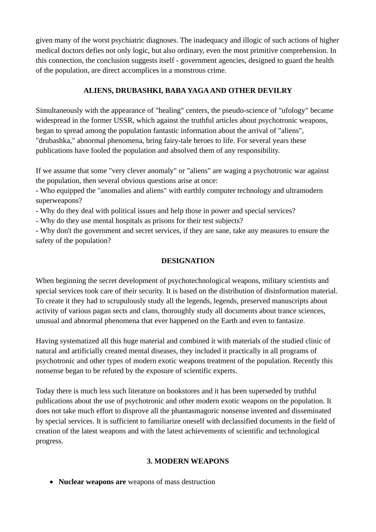given many of the worst psychiatric diagnoses. The inadequacy and illogic of such actions of higher medical doctors defies not only logic, but also ordinary, even the most primitive comprehension. In this connection, the conclusion suggests itself - government agencies, designed to guard the health of the population, are direct accomplices in a monstrous crime.

## **ALIENS, DRUBASHKI, BABA YAGA AND OTHER DEVILRY**

Simultaneously with the appearance of "healing" centers, the pseudo-science of "ufology" became widespread in the former USSR, which against the truthful articles about psychotronic weapons, began to spread among the population fantastic information about the arrival of "aliens", "drubashka," abnormal phenomena, bring fairy-tale heroes to life. For several years these publications have fooled the population and absolved them of any responsibility.

If we assume that some "very clever anomaly" or "aliens" are waging a psychotronic war against the population, then several obvious questions arise at once:

- Who equipped the "anomalies and aliens" with earthly computer technology and ultramodern superweapons?

- Why do they deal with political issues and help those in power and special services?

- Why do they use mental hospitals as prisons for their test subjects?

- Why don't the government and secret services, if they are sane, take any measures to ensure the safety of the population?

# **DESIGNATION**

When beginning the secret development of psychotechnological weapons, military scientists and special services took care of their security. It is based on the distribution of disinformation material. To create it they had to scrupulously study all the legends, legends, preserved manuscripts about activity of various pagan sects and clans, thoroughly study all documents about trance sciences, unusual and abnormal phenomena that ever happened on the Earth and even to fantasize.

Having systematized all this huge material and combined it with materials of the studied clinic of natural and artificially created mental diseases, they included it practically in all programs of psychotronic and other types of modern exotic weapons treatment of the population. Recently this nonsense began to be refuted by the exposure of scientific experts.

Today there is much less such literature on bookstores and it has been superseded by truthful publications about the use of psychotronic and other modern exotic weapons on the population. It does not take much effort to disprove all the phantasmagoric nonsense invented and disseminated by special services. It is sufficient to familiarize oneself with declassified documents in the field of creation of the latest weapons and with the latest achievements of scientific and technological progress.

## **3. MODERN WEAPONS**

**Nuclear weapons are** weapons of mass destruction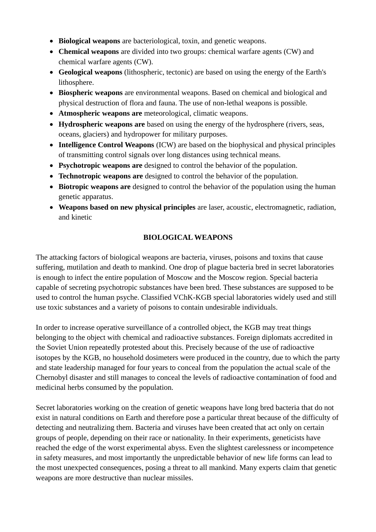- **Biological weapons** are bacteriological, toxin, and genetic weapons.
- **Chemical weapons** are divided into two groups: chemical warfare agents (CW) and chemical warfare agents (CW).
- **Geological weapons** (lithospheric, tectonic) are based on using the energy of the Earth's lithosphere.
- **Biospheric weapons** are environmental weapons. Based on chemical and biological and physical destruction of flora and fauna. The use of non-lethal weapons is possible.
- **Atmospheric weapons are** meteorological, climatic weapons.
- **Hydrospheric weapons are** based on using the energy of the hydrosphere (rivers, seas, oceans, glaciers) and hydropower for military purposes.
- **Intelligence Control Weapons** (ICW) are based on the biophysical and physical principles of transmitting control signals over long distances using technical means.
- **Psychotropic weapons are** designed to control the behavior of the population.
- **Technotropic weapons are** designed to control the behavior of the population.
- **Biotropic weapons are** designed to control the behavior of the population using the human genetic apparatus.
- **Weapons based on new physical principles** are laser, acoustic, electromagnetic, radiation, and kinetic

## **BIOLOGICAL WEAPONS**

The attacking factors of biological weapons are bacteria, viruses, poisons and toxins that cause suffering, mutilation and death to mankind. One drop of plague bacteria bred in secret laboratories is enough to infect the entire population of Moscow and the Moscow region. Special bacteria capable of secreting psychotropic substances have been bred. These substances are supposed to be used to control the human psyche. Classified VChK-KGB special laboratories widely used and still use toxic substances and a variety of poisons to contain undesirable individuals.

In order to increase operative surveillance of a controlled object, the KGB may treat things belonging to the object with chemical and radioactive substances. Foreign diplomats accredited in the Soviet Union repeatedly protested about this. Precisely because of the use of radioactive isotopes by the KGB, no household dosimeters were produced in the country, due to which the party and state leadership managed for four years to conceal from the population the actual scale of the Chernobyl disaster and still manages to conceal the levels of radioactive contamination of food and medicinal herbs consumed by the population.

Secret laboratories working on the creation of genetic weapons have long bred bacteria that do not exist in natural conditions on Earth and therefore pose a particular threat because of the difficulty of detecting and neutralizing them. Bacteria and viruses have been created that act only on certain groups of people, depending on their race or nationality. In their experiments, geneticists have reached the edge of the worst experimental abyss. Even the slightest carelessness or incompetence in safety measures, and most importantly the unpredictable behavior of new life forms can lead to the most unexpected consequences, posing a threat to all mankind. Many experts claim that genetic weapons are more destructive than nuclear missiles.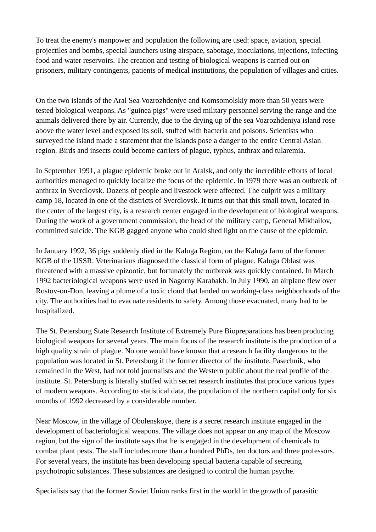To treat the enemy's manpower and population the following are used: space, aviation, special projectiles and bombs, special launchers using airspace, sabotage, inoculations, injections, infecting food and water reservoirs. The creation and testing of biological weapons is carried out on prisoners, military contingents, patients of medical institutions, the population of villages and cities.

On the two islands of the Aral Sea Vozrozhdeniye and Komsomolskiy more than 50 years were tested biological weapons. As "guinea pigs" were used military personnel serving the range and the animals delivered there by air. Currently, due to the drying up of the sea Vozrozhdeniya island rose above the water level and exposed its soil, stuffed with bacteria and poisons. Scientists who surveyed the island made a statement that the islands pose a danger to the entire Central Asian region. Birds and insects could become carriers of plague, typhus, anthrax and tularemia.

In September 1991, a plague epidemic broke out in Aralsk, and only the incredible efforts of local authorities managed to quickly localize the focus of the epidemic. In 1979 there was an outbreak of anthrax in Sverdlovsk. Dozens of people and livestock were affected. The culprit was a military camp 18, located in one of the districts of Sverdlovsk. It turns out that this small town, located in the center of the largest city, is a research center engaged in the development of biological weapons. During the work of a government commission, the head of the military camp, General Mikhailov, committed suicide. The KGB gagged anyone who could shed light on the cause of the epidemic.

In January 1992, 36 pigs suddenly died in the Kaluga Region, on the Kaluga farm of the former KGB of the USSR. Veterinarians diagnosed the classical form of plague. Kaluga Oblast was threatened with a massive epizootic, but fortunately the outbreak was quickly contained. In March 1992 bacteriological weapons were used in Nagorny Karabakh. In July 1990, an airplane flew over Rostov-on-Don, leaving a plume of a toxic cloud that landed on working-class neighborhoods of the city. The authorities had to evacuate residents to safety. Among those evacuated, many had to be hospitalized.

The St. Petersburg State Research Institute of Extremely Pure Biopreparations has been producing biological weapons for several years. The main focus of the research institute is the production of a high quality strain of plague. No one would have known that a research facility dangerous to the population was located in St. Petersburg if the former director of the institute, Pasechnik, who remained in the West, had not told journalists and the Western public about the real profile of the institute. St. Petersburg is literally stuffed with secret research institutes that produce various types of modern weapons. According to statistical data, the population of the northern capital only for six months of 1992 decreased by a considerable number.

Near Moscow, in the village of Obolenskoye, there is a secret research institute engaged in the development of bacteriological weapons. The village does not appear on any map of the Moscow region, but the sign of the institute says that he is engaged in the development of chemicals to combat plant pests. The staff includes more than a hundred PhDs, ten doctors and three professors. For several years, the institute has been developing special bacteria capable of secreting psychotropic substances. These substances are designed to control the human psyche.

Specialists say that the former Soviet Union ranks first in the world in the growth of parasitic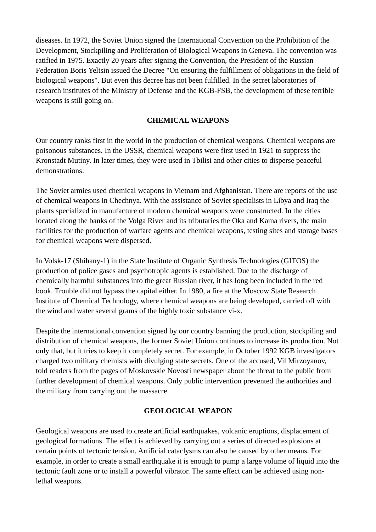diseases. In 1972, the Soviet Union signed the International Convention on the Prohibition of the Development, Stockpiling and Proliferation of Biological Weapons in Geneva. The convention was ratified in 1975. Exactly 20 years after signing the Convention, the President of the Russian Federation Boris Yeltsin issued the Decree "On ensuring the fulfillment of obligations in the field of biological weapons". But even this decree has not been fulfilled. In the secret laboratories of research institutes of the Ministry of Defense and the KGB-FSB, the development of these terrible weapons is still going on.

### **CHEMICAL WEAPONS**

Our country ranks first in the world in the production of chemical weapons. Chemical weapons are poisonous substances. In the USSR, chemical weapons were first used in 1921 to suppress the Kronstadt Mutiny. In later times, they were used in Tbilisi and other cities to disperse peaceful demonstrations.

The Soviet armies used chemical weapons in Vietnam and Afghanistan. There are reports of the use of chemical weapons in Chechnya. With the assistance of Soviet specialists in Libya and Iraq the plants specialized in manufacture of modern chemical weapons were constructed. In the cities located along the banks of the Volga River and its tributaries the Oka and Kama rivers, the main facilities for the production of warfare agents and chemical weapons, testing sites and storage bases for chemical weapons were dispersed.

In Volsk-17 (Shihany-1) in the State Institute of Organic Synthesis Technologies (GITOS) the production of police gases and psychotropic agents is established. Due to the discharge of chemically harmful substances into the great Russian river, it has long been included in the red book. Trouble did not bypass the capital either. In 1980, a fire at the Moscow State Research Institute of Chemical Technology, where chemical weapons are being developed, carried off with the wind and water several grams of the highly toxic substance vi-x.

Despite the international convention signed by our country banning the production, stockpiling and distribution of chemical weapons, the former Soviet Union continues to increase its production. Not only that, but it tries to keep it completely secret. For example, in October 1992 KGB investigators charged two military chemists with divulging state secrets. One of the accused, Vil Mirzoyanov, told readers from the pages of Moskovskie Novosti newspaper about the threat to the public from further development of chemical weapons. Only public intervention prevented the authorities and the military from carrying out the massacre.

#### **GEOLOGICAL WEAPON**

Geological weapons are used to create artificial earthquakes, volcanic eruptions, displacement of geological formations. The effect is achieved by carrying out a series of directed explosions at certain points of tectonic tension. Artificial cataclysms can also be caused by other means. For example, in order to create a small earthquake it is enough to pump a large volume of liquid into the tectonic fault zone or to install a powerful vibrator. The same effect can be achieved using nonlethal weapons.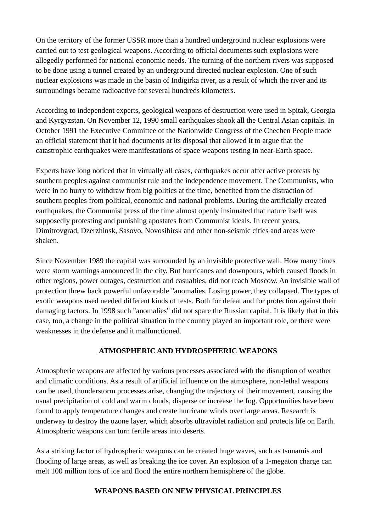On the territory of the former USSR more than a hundred underground nuclear explosions were carried out to test geological weapons. According to official documents such explosions were allegedly performed for national economic needs. The turning of the northern rivers was supposed to be done using a tunnel created by an underground directed nuclear explosion. One of such nuclear explosions was made in the basin of Indigirka river, as a result of which the river and its surroundings became radioactive for several hundreds kilometers.

According to independent experts, geological weapons of destruction were used in Spitak, Georgia and Kyrgyzstan. On November 12, 1990 small earthquakes shook all the Central Asian capitals. In October 1991 the Executive Committee of the Nationwide Congress of the Chechen People made an official statement that it had documents at its disposal that allowed it to argue that the catastrophic earthquakes were manifestations of space weapons testing in near-Earth space.

Experts have long noticed that in virtually all cases, earthquakes occur after active protests by southern peoples against communist rule and the independence movement. The Communists, who were in no hurry to withdraw from big politics at the time, benefited from the distraction of southern peoples from political, economic and national problems. During the artificially created earthquakes, the Communist press of the time almost openly insinuated that nature itself was supposedly protesting and punishing apostates from Communist ideals. In recent years, Dimitrovgrad, Dzerzhinsk, Sasovo, Novosibirsk and other non-seismic cities and areas were shaken.

Since November 1989 the capital was surrounded by an invisible protective wall. How many times were storm warnings announced in the city. But hurricanes and downpours, which caused floods in other regions, power outages, destruction and casualties, did not reach Moscow. An invisible wall of protection threw back powerful unfavorable "anomalies. Losing power, they collapsed. The types of exotic weapons used needed different kinds of tests. Both for defeat and for protection against their damaging factors. In 1998 such "anomalies" did not spare the Russian capital. It is likely that in this case, too, a change in the political situation in the country played an important role, or there were weaknesses in the defense and it malfunctioned.

## **ATMOSPHERIC AND HYDROSPHERIC WEAPONS**

Atmospheric weapons are affected by various processes associated with the disruption of weather and climatic conditions. As a result of artificial influence on the atmosphere, non-lethal weapons can be used, thunderstorm processes arise, changing the trajectory of their movement, causing the usual precipitation of cold and warm clouds, disperse or increase the fog. Opportunities have been found to apply temperature changes and create hurricane winds over large areas. Research is underway to destroy the ozone layer, which absorbs ultraviolet radiation and protects life on Earth. Atmospheric weapons can turn fertile areas into deserts.

As a striking factor of hydrospheric weapons can be created huge waves, such as tsunamis and flooding of large areas, as well as breaking the ice cover. An explosion of a 1-megaton charge can melt 100 million tons of ice and flood the entire northern hemisphere of the globe.

#### **WEAPONS BASED ON NEW PHYSICAL PRINCIPLES**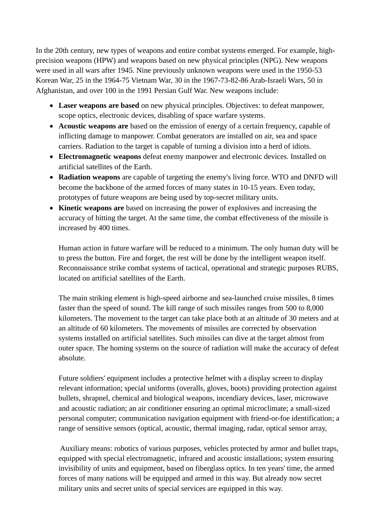In the 20th century, new types of weapons and entire combat systems emerged. For example, highprecision weapons (HPW) and weapons based on new physical principles (NPG). New weapons were used in all wars after 1945. Nine previously unknown weapons were used in the 1950-53 Korean War, 25 in the 1964-75 Vietnam War, 30 in the 1967-73-82-86 Arab-Israeli Wars, 50 in Afghanistan, and over 100 in the 1991 Persian Gulf War. New weapons include:

- **Laser weapons are based** on new physical principles. Objectives: to defeat manpower, scope optics, electronic devices, disabling of space warfare systems.
- **Acoustic weapons are** based on the emission of energy of a certain frequency, capable of inflicting damage to manpower. Combat generators are installed on air, sea and space carriers. Radiation to the target is capable of turning a division into a herd of idiots.
- **Electromagnetic weapons** defeat enemy manpower and electronic devices. Installed on artificial satellites of the Earth.
- **Radiation weapons** are capable of targeting the enemy's living force. WTO and DNFD will become the backbone of the armed forces of many states in 10-15 years. Even today, prototypes of future weapons are being used by top-secret military units.
- **Kinetic weapons are** based on increasing the power of explosives and increasing the accuracy of hitting the target. At the same time, the combat effectiveness of the missile is increased by 400 times.

Human action in future warfare will be reduced to a minimum. The only human duty will be to press the button. Fire and forget, the rest will be done by the intelligent weapon itself. Reconnaissance strike combat systems of tactical, operational and strategic purposes RUBS, located on artificial satellites of the Earth.

The main striking element is high-speed airborne and sea-launched cruise missiles, 8 times faster than the speed of sound. The kill range of such missiles ranges from 500 to 8,000 kilometers. The movement to the target can take place both at an altitude of 30 meters and at an altitude of 60 kilometers. The movements of missiles are corrected by observation systems installed on artificial satellites. Such missiles can dive at the target almost from outer space. The homing systems on the source of radiation will make the accuracy of defeat absolute.

Future soldiers' equipment includes a protective helmet with a display screen to display relevant information; special uniforms (overalls, gloves, boots) providing protection against bullets, shrapnel, chemical and biological weapons, incendiary devices, laser, microwave and acoustic radiation; an air conditioner ensuring an optimal microclimate; a small-sized personal computer; communication navigation equipment with friend-or-foe identification; a range of sensitive sensors (optical, acoustic, thermal imaging, radar, optical sensor array,

 Auxiliary means: robotics of various purposes, vehicles protected by armor and bullet traps, equipped with special electromagnetic, infrared and acoustic installations; system ensuring invisibility of units and equipment, based on fiberglass optics. In ten years' time, the armed forces of many nations will be equipped and armed in this way. But already now secret military units and secret units of special services are equipped in this way.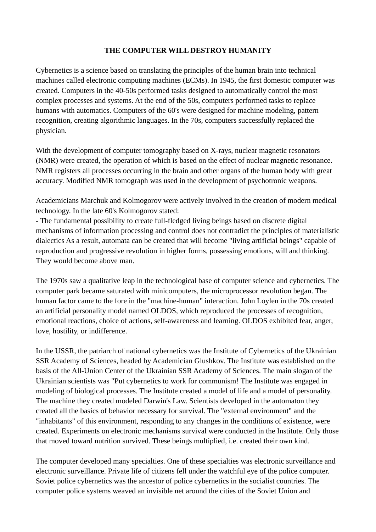### **THE COMPUTER WILL DESTROY HUMANITY**

Cybernetics is a science based on translating the principles of the human brain into technical machines called electronic computing machines (ECMs). In 1945, the first domestic computer was created. Computers in the 40-50s performed tasks designed to automatically control the most complex processes and systems. At the end of the 50s, computers performed tasks to replace humans with automatics. Computers of the 60's were designed for machine modeling, pattern recognition, creating algorithmic languages. In the 70s, computers successfully replaced the physician.

With the development of computer tomography based on X-rays, nuclear magnetic resonators (NMR) were created, the operation of which is based on the effect of nuclear magnetic resonance. NMR registers all processes occurring in the brain and other organs of the human body with great accuracy. Modified NMR tomograph was used in the development of psychotronic weapons.

Academicians Marchuk and Kolmogorov were actively involved in the creation of modern medical technology. In the late 60's Kolmogorov stated:

- The fundamental possibility to create full-fledged living beings based on discrete digital mechanisms of information processing and control does not contradict the principles of materialistic dialectics As a result, automata can be created that will become "living artificial beings" capable of reproduction and progressive revolution in higher forms, possessing emotions, will and thinking. They would become above man.

The 1970s saw a qualitative leap in the technological base of computer science and cybernetics. The computer park became saturated with minicomputers, the microprocessor revolution began. The human factor came to the fore in the "machine-human" interaction. John Loylen in the 70s created an artificial personality model named OLDOS, which reproduced the processes of recognition, emotional reactions, choice of actions, self-awareness and learning. OLDOS exhibited fear, anger, love, hostility, or indifference.

In the USSR, the patriarch of national cybernetics was the Institute of Cybernetics of the Ukrainian SSR Academy of Sciences, headed by Academician Glushkov. The Institute was established on the basis of the All-Union Center of the Ukrainian SSR Academy of Sciences. The main slogan of the Ukrainian scientists was "Put cybernetics to work for communism! The Institute was engaged in modeling of biological processes. The Institute created a model of life and a model of personality. The machine they created modeled Darwin's Law. Scientists developed in the automaton they created all the basics of behavior necessary for survival. The "external environment" and the "inhabitants" of this environment, responding to any changes in the conditions of existence, were created. Experiments on electronic mechanisms survival were conducted in the Institute. Only those that moved toward nutrition survived. These beings multiplied, i.e. created their own kind.

The computer developed many specialties. One of these specialties was electronic surveillance and electronic surveillance. Private life of citizens fell under the watchful eye of the police computer. Soviet police cybernetics was the ancestor of police cybernetics in the socialist countries. The computer police systems weaved an invisible net around the cities of the Soviet Union and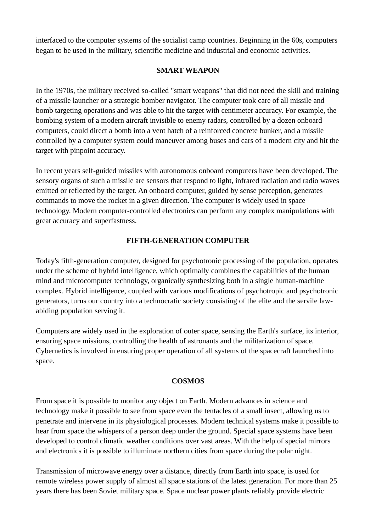interfaced to the computer systems of the socialist camp countries. Beginning in the 60s, computers began to be used in the military, scientific medicine and industrial and economic activities.

#### **SMART WEAPON**

In the 1970s, the military received so-called "smart weapons" that did not need the skill and training of a missile launcher or a strategic bomber navigator. The computer took care of all missile and bomb targeting operations and was able to hit the target with centimeter accuracy. For example, the bombing system of a modern aircraft invisible to enemy radars, controlled by a dozen onboard computers, could direct a bomb into a vent hatch of a reinforced concrete bunker, and a missile controlled by a computer system could maneuver among buses and cars of a modern city and hit the target with pinpoint accuracy.

In recent years self-guided missiles with autonomous onboard computers have been developed. The sensory organs of such a missile are sensors that respond to light, infrared radiation and radio waves emitted or reflected by the target. An onboard computer, guided by sense perception, generates commands to move the rocket in a given direction. The computer is widely used in space technology. Modern computer-controlled electronics can perform any complex manipulations with great accuracy and superfastness.

# **FIFTH-GENERATION COMPUTER**

Today's fifth-generation computer, designed for psychotronic processing of the population, operates under the scheme of hybrid intelligence, which optimally combines the capabilities of the human mind and microcomputer technology, organically synthesizing both in a single human-machine complex. Hybrid intelligence, coupled with various modifications of psychotropic and psychotronic generators, turns our country into a technocratic society consisting of the elite and the servile lawabiding population serving it.

Computers are widely used in the exploration of outer space, sensing the Earth's surface, its interior, ensuring space missions, controlling the health of astronauts and the militarization of space. Cybernetics is involved in ensuring proper operation of all systems of the spacecraft launched into space.

## **COSMOS**

From space it is possible to monitor any object on Earth. Modern advances in science and technology make it possible to see from space even the tentacles of a small insect, allowing us to penetrate and intervene in its physiological processes. Modern technical systems make it possible to hear from space the whispers of a person deep under the ground. Special space systems have been developed to control climatic weather conditions over vast areas. With the help of special mirrors and electronics it is possible to illuminate northern cities from space during the polar night.

Transmission of microwave energy over a distance, directly from Earth into space, is used for remote wireless power supply of almost all space stations of the latest generation. For more than 25 years there has been Soviet military space. Space nuclear power plants reliably provide electric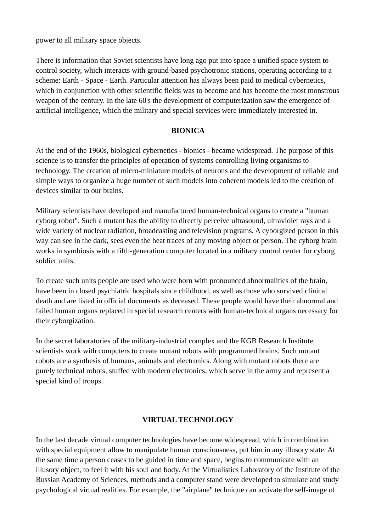power to all military space objects.

There is information that Soviet scientists have long ago put into space a unified space system to control society, which interacts with ground-based psychotronic stations, operating according to a scheme: Earth - Space - Earth. Particular attention has always been paid to medical cybernetics, which in conjunction with other scientific fields was to become and has become the most monstrous weapon of the century. In the late 60's the development of computerization saw the emergence of artificial intelligence, which the military and special services were immediately interested in.

#### **BIONICA**

At the end of the 1960s, biological cybernetics - bionics - became widespread. The purpose of this science is to transfer the principles of operation of systems controlling living organisms to technology. The creation of micro-miniature models of neurons and the development of reliable and simple ways to organize a huge number of such models into coherent models led to the creation of devices similar to our brains.

Military scientists have developed and manufactured human-technical organs to create a "human cyborg robot". Such a mutant has the ability to directly perceive ultrasound, ultraviolet rays and a wide variety of nuclear radiation, broadcasting and television programs. A cyborgized person in this way can see in the dark, sees even the heat traces of any moving object or person. The cyborg brain works in symbiosis with a fifth-generation computer located in a military control center for cyborg soldier units.

To create such units people are used who were born with pronounced abnormalities of the brain, have been in closed psychiatric hospitals since childhood, as well as those who survived clinical death and are listed in official documents as deceased. These people would have their abnormal and failed human organs replaced in special research centers with human-technical organs necessary for their cyborgization.

In the secret laboratories of the military-industrial complex and the KGB Research Institute, scientists work with computers to create mutant robots with programmed brains. Such mutant robots are a synthesis of humans, animals and electronics. Along with mutant robots there are purely technical robots, stuffed with modern electronics, which serve in the army and represent a special kind of troops.

#### **VIRTUAL TECHNOLOGY**

In the last decade virtual computer technologies have become widespread, which in combination with special equipment allow to manipulate human consciousness, put him in any illusory state. At the same time a person ceases to be guided in time and space, begins to communicate with an illusory object, to feel it with his soul and body. At the Virtualistics Laboratory of the Institute of the Russian Academy of Sciences, methods and a computer stand were developed to simulate and study psychological virtual realities. For example, the "airplane" technique can activate the self-image of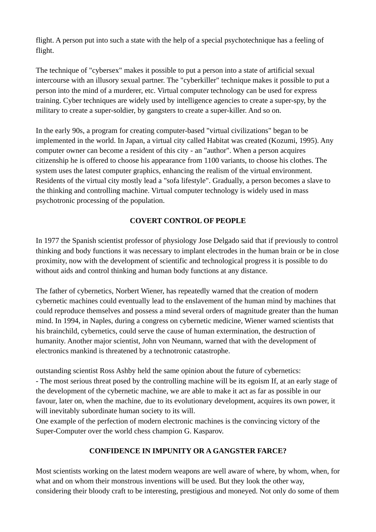flight. A person put into such a state with the help of a special psychotechnique has a feeling of flight.

The technique of "cybersex" makes it possible to put a person into a state of artificial sexual intercourse with an illusory sexual partner. The "cyberkiller" technique makes it possible to put a person into the mind of a murderer, etc. Virtual computer technology can be used for express training. Cyber techniques are widely used by intelligence agencies to create a super-spy, by the military to create a super-soldier, by gangsters to create a super-killer. And so on.

In the early 90s, a program for creating computer-based "virtual civilizations" began to be implemented in the world. In Japan, a virtual city called Habitat was created (Kozumi, 1995). Any computer owner can become a resident of this city - an "author". When a person acquires citizenship he is offered to choose his appearance from 1100 variants, to choose his clothes. The system uses the latest computer graphics, enhancing the realism of the virtual environment. Residents of the virtual city mostly lead a "sofa lifestyle". Gradually, a person becomes a slave to the thinking and controlling machine. Virtual computer technology is widely used in mass psychotronic processing of the population.

# **COVERT CONTROL OF PEOPLE**

In 1977 the Spanish scientist professor of physiology Jose Delgado said that if previously to control thinking and body functions it was necessary to implant electrodes in the human brain or be in close proximity, now with the development of scientific and technological progress it is possible to do without aids and control thinking and human body functions at any distance.

The father of cybernetics, Norbert Wiener, has repeatedly warned that the creation of modern cybernetic machines could eventually lead to the enslavement of the human mind by machines that could reproduce themselves and possess a mind several orders of magnitude greater than the human mind. In 1994, in Naples, during a congress on cybernetic medicine, Wiener warned scientists that his brainchild, cybernetics, could serve the cause of human extermination, the destruction of humanity. Another major scientist, John von Neumann, warned that with the development of electronics mankind is threatened by a technotronic catastrophe.

outstanding scientist Ross Ashby held the same opinion about the future of cybernetics: - The most serious threat posed by the controlling machine will be its egoism If, at an early stage of the development of the cybernetic machine, we are able to make it act as far as possible in our favour, later on, when the machine, due to its evolutionary development, acquires its own power, it will inevitably subordinate human society to its will.

One example of the perfection of modern electronic machines is the convincing victory of the Super-Computer over the world chess champion G. Kasparov.

# **CONFIDENCE IN IMPUNITY OR A GANGSTER FARCE?**

Most scientists working on the latest modern weapons are well aware of where, by whom, when, for what and on whom their monstrous inventions will be used. But they look the other way, considering their bloody craft to be interesting, prestigious and moneyed. Not only do some of them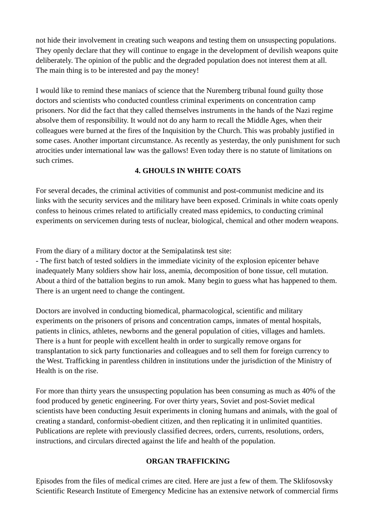not hide their involvement in creating such weapons and testing them on unsuspecting populations. They openly declare that they will continue to engage in the development of devilish weapons quite deliberately. The opinion of the public and the degraded population does not interest them at all. The main thing is to be interested and pay the money!

I would like to remind these maniacs of science that the Nuremberg tribunal found guilty those doctors and scientists who conducted countless criminal experiments on concentration camp prisoners. Nor did the fact that they called themselves instruments in the hands of the Nazi regime absolve them of responsibility. It would not do any harm to recall the Middle Ages, when their colleagues were burned at the fires of the Inquisition by the Church. This was probably justified in some cases. Another important circumstance. As recently as yesterday, the only punishment for such atrocities under international law was the gallows! Even today there is no statute of limitations on such crimes.

## **4. GHOULS IN WHITE COATS**

For several decades, the criminal activities of communist and post-communist medicine and its links with the security services and the military have been exposed. Criminals in white coats openly confess to heinous crimes related to artificially created mass epidemics, to conducting criminal experiments on servicemen during tests of nuclear, biological, chemical and other modern weapons.

From the diary of a military doctor at the Semipalatinsk test site:

- The first batch of tested soldiers in the immediate vicinity of the explosion epicenter behave inadequately Many soldiers show hair loss, anemia, decomposition of bone tissue, cell mutation. About a third of the battalion begins to run amok. Many begin to guess what has happened to them. There is an urgent need to change the contingent.

Doctors are involved in conducting biomedical, pharmacological, scientific and military experiments on the prisoners of prisons and concentration camps, inmates of mental hospitals, patients in clinics, athletes, newborns and the general population of cities, villages and hamlets. There is a hunt for people with excellent health in order to surgically remove organs for transplantation to sick party functionaries and colleagues and to sell them for foreign currency to the West. Trafficking in parentless children in institutions under the jurisdiction of the Ministry of Health is on the rise.

For more than thirty years the unsuspecting population has been consuming as much as 40% of the food produced by genetic engineering. For over thirty years, Soviet and post-Soviet medical scientists have been conducting Jesuit experiments in cloning humans and animals, with the goal of creating a standard, conformist-obedient citizen, and then replicating it in unlimited quantities. Publications are replete with previously classified decrees, orders, currents, resolutions, orders, instructions, and circulars directed against the life and health of the population.

#### **ORGAN TRAFFICKING**

Episodes from the files of medical crimes are cited. Here are just a few of them. The Sklifosovsky Scientific Research Institute of Emergency Medicine has an extensive network of commercial firms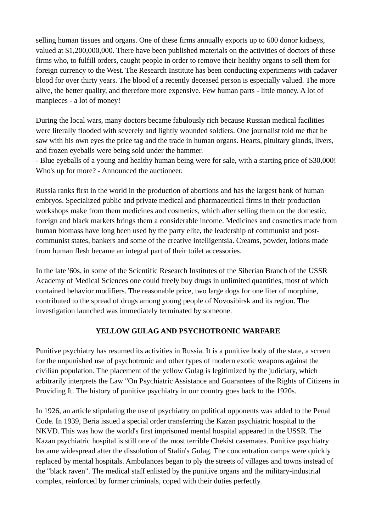selling human tissues and organs. One of these firms annually exports up to 600 donor kidneys, valued at \$1,200,000,000. There have been published materials on the activities of doctors of these firms who, to fulfill orders, caught people in order to remove their healthy organs to sell them for foreign currency to the West. The Research Institute has been conducting experiments with cadaver blood for over thirty years. The blood of a recently deceased person is especially valued. The more alive, the better quality, and therefore more expensive. Few human parts - little money. A lot of manpieces - a lot of money!

During the local wars, many doctors became fabulously rich because Russian medical facilities were literally flooded with severely and lightly wounded soldiers. One journalist told me that he saw with his own eyes the price tag and the trade in human organs. Hearts, pituitary glands, livers, and frozen eyeballs were being sold under the hammer.

- Blue eyeballs of a young and healthy human being were for sale, with a starting price of \$30,000! Who's up for more? - Announced the auctioneer.

Russia ranks first in the world in the production of abortions and has the largest bank of human embryos. Specialized public and private medical and pharmaceutical firms in their production workshops make from them medicines and cosmetics, which after selling them on the domestic, foreign and black markets brings them a considerable income. Medicines and cosmetics made from human biomass have long been used by the party elite, the leadership of communist and postcommunist states, bankers and some of the creative intelligentsia. Creams, powder, lotions made from human flesh became an integral part of their toilet accessories.

In the late '60s, in some of the Scientific Research Institutes of the Siberian Branch of the USSR Academy of Medical Sciences one could freely buy drugs in unlimited quantities, most of which contained behavior modifiers. The reasonable price, two large dogs for one liter of morphine, contributed to the spread of drugs among young people of Novosibirsk and its region. The investigation launched was immediately terminated by someone.

## **YELLOW GULAG AND PSYCHOTRONIC WARFARE**

Punitive psychiatry has resumed its activities in Russia. It is a punitive body of the state, a screen for the unpunished use of psychotronic and other types of modern exotic weapons against the civilian population. The placement of the yellow Gulag is legitimized by the judiciary, which arbitrarily interprets the Law "On Psychiatric Assistance and Guarantees of the Rights of Citizens in Providing It. The history of punitive psychiatry in our country goes back to the 1920s.

In 1926, an article stipulating the use of psychiatry on political opponents was added to the Penal Code. In 1939, Beria issued a special order transferring the Kazan psychiatric hospital to the NKVD. This was how the world's first imprisoned mental hospital appeared in the USSR. The Kazan psychiatric hospital is still one of the most terrible Chekist casemates. Punitive psychiatry became widespread after the dissolution of Stalin's Gulag. The concentration camps were quickly replaced by mental hospitals. Ambulances began to ply the streets of villages and towns instead of the "black raven". The medical staff enlisted by the punitive organs and the military-industrial complex, reinforced by former criminals, coped with their duties perfectly.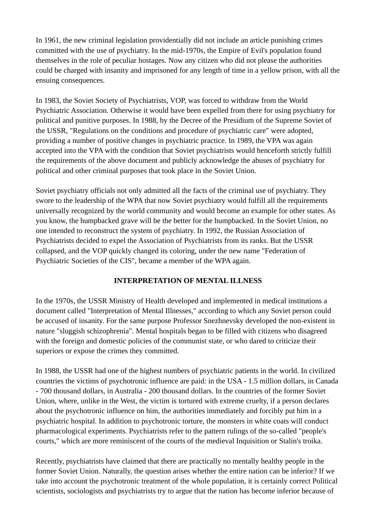In 1961, the new criminal legislation providentially did not include an article punishing crimes committed with the use of psychiatry. In the mid-1970s, the Empire of Evil's population found themselves in the role of peculiar hostages. Now any citizen who did not please the authorities could be charged with insanity and imprisoned for any length of time in a yellow prison, with all the ensuing consequences.

In 1983, the Soviet Society of Psychiatrists, VOP, was forced to withdraw from the World Psychiatric Association. Otherwise it would have been expelled from there for using psychiatry for political and punitive purposes. In 1988, by the Decree of the Presidium of the Supreme Soviet of the USSR, "Regulations on the conditions and procedure of psychiatric care" were adopted, providing a number of positive changes in psychiatric practice. In 1989, the VPA was again accepted into the VPA with the condition that Soviet psychiatrists would henceforth strictly fulfill the requirements of the above document and publicly acknowledge the abuses of psychiatry for political and other criminal purposes that took place in the Soviet Union.

Soviet psychiatry officials not only admitted all the facts of the criminal use of psychiatry. They swore to the leadership of the WPA that now Soviet psychiatry would fulfill all the requirements universally recognized by the world community and would become an example for other states. As you know, the humpbacked grave will be the better for the humpbacked. In the Soviet Union, no one intended to reconstruct the system of psychiatry. In 1992, the Russian Association of Psychiatrists decided to expel the Association of Psychiatrists from its ranks. But the USSR collapsed, and the VOP quickly changed its coloring, under the new name "Federation of Psychiatric Societies of the CIS", became a member of the WPA again.

## **INTERPRETATION OF MENTAL ILLNESS**

In the 1970s, the USSR Ministry of Health developed and implemented in medical institutions a document called "Interpretation of Mental Illnesses," according to which any Soviet person could be accused of insanity. For the same purpose Professor Snezhnevsky developed the non-existent in nature "sluggish schizophrenia". Mental hospitals began to be filled with citizens who disagreed with the foreign and domestic policies of the communist state, or who dared to criticize their superiors or expose the crimes they committed.

In 1988, the USSR had one of the highest numbers of psychiatric patients in the world. In civilized countries the victims of psychotronic influence are paid: in the USA - 1.5 million dollars, in Canada - 700 thousand dollars, in Australia - 200 thousand dollars. In the countries of the former Soviet Union, where, unlike in the West, the victim is tortured with extreme cruelty, if a person declares about the psychotronic influence on him, the authorities immediately and forcibly put him in a psychiatric hospital. In addition to psychotronic torture, the monsters in white coats will conduct pharmacological experiments. Psychiatrists refer to the pattern rulings of the so-called "people's courts," which are more reminiscent of the courts of the medieval Inquisition or Stalin's troika.

Recently, psychiatrists have claimed that there are practically no mentally healthy people in the former Soviet Union. Naturally, the question arises whether the entire nation can be inferior? If we take into account the psychotronic treatment of the whole population, it is certainly correct Political scientists, sociologists and psychiatrists try to argue that the nation has become inferior because of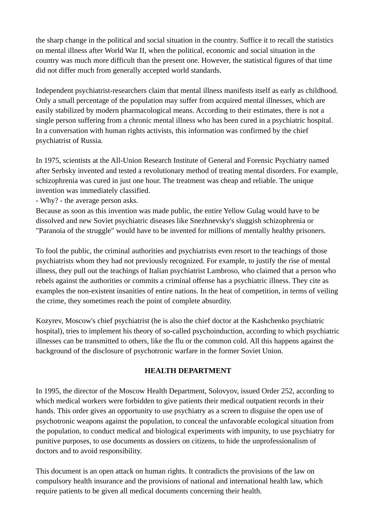the sharp change in the political and social situation in the country. Suffice it to recall the statistics on mental illness after World War II, when the political, economic and social situation in the country was much more difficult than the present one. However, the statistical figures of that time did not differ much from generally accepted world standards.

Independent psychiatrist-researchers claim that mental illness manifests itself as early as childhood. Only a small percentage of the population may suffer from acquired mental illnesses, which are easily stabilized by modern pharmacological means. According to their estimates, there is not a single person suffering from a chronic mental illness who has been cured in a psychiatric hospital. In a conversation with human rights activists, this information was confirmed by the chief psychiatrist of Russia.

In 1975, scientists at the All-Union Research Institute of General and Forensic Psychiatry named after Serbsky invented and tested a revolutionary method of treating mental disorders. For example, schizophrenia was cured in just one hour. The treatment was cheap and reliable. The unique invention was immediately classified.

- Why? - the average person asks.

Because as soon as this invention was made public, the entire Yellow Gulag would have to be dissolved and new Soviet psychiatric diseases like Snezhnevsky's sluggish schizophrenia or "Paranoia of the struggle" would have to be invented for millions of mentally healthy prisoners.

To fool the public, the criminal authorities and psychiatrists even resort to the teachings of those psychiatrists whom they had not previously recognized. For example, to justify the rise of mental illness, they pull out the teachings of Italian psychiatrist Lambroso, who claimed that a person who rebels against the authorities or commits a criminal offense has a psychiatric illness. They cite as examples the non-existent insanities of entire nations. In the heat of competition, in terms of veiling the crime, they sometimes reach the point of complete absurdity.

Kozyrev, Moscow's chief psychiatrist (he is also the chief doctor at the Kashchenko psychiatric hospital), tries to implement his theory of so-called psychoinduction, according to which psychiatric illnesses can be transmitted to others, like the flu or the common cold. All this happens against the background of the disclosure of psychotronic warfare in the former Soviet Union.

#### **HEALTH DEPARTMENT**

In 1995, the director of the Moscow Health Department, Solovyov, issued Order 252, according to which medical workers were forbidden to give patients their medical outpatient records in their hands. This order gives an opportunity to use psychiatry as a screen to disguise the open use of psychotronic weapons against the population, to conceal the unfavorable ecological situation from the population, to conduct medical and biological experiments with impunity, to use psychiatry for punitive purposes, to use documents as dossiers on citizens, to hide the unprofessionalism of doctors and to avoid responsibility.

This document is an open attack on human rights. It contradicts the provisions of the law on compulsory health insurance and the provisions of national and international health law, which require patients to be given all medical documents concerning their health.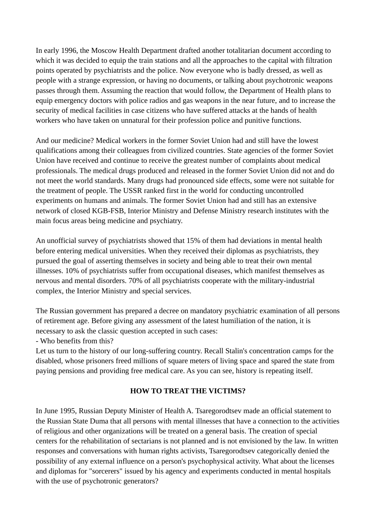In early 1996, the Moscow Health Department drafted another totalitarian document according to which it was decided to equip the train stations and all the approaches to the capital with filtration points operated by psychiatrists and the police. Now everyone who is badly dressed, as well as people with a strange expression, or having no documents, or talking about psychotronic weapons passes through them. Assuming the reaction that would follow, the Department of Health plans to equip emergency doctors with police radios and gas weapons in the near future, and to increase the security of medical facilities in case citizens who have suffered attacks at the hands of health workers who have taken on unnatural for their profession police and punitive functions.

And our medicine? Medical workers in the former Soviet Union had and still have the lowest qualifications among their colleagues from civilized countries. State agencies of the former Soviet Union have received and continue to receive the greatest number of complaints about medical professionals. The medical drugs produced and released in the former Soviet Union did not and do not meet the world standards. Many drugs had pronounced side effects, some were not suitable for the treatment of people. The USSR ranked first in the world for conducting uncontrolled experiments on humans and animals. The former Soviet Union had and still has an extensive network of closed KGB-FSB, Interior Ministry and Defense Ministry research institutes with the main focus areas being medicine and psychiatry.

An unofficial survey of psychiatrists showed that 15% of them had deviations in mental health before entering medical universities. When they received their diplomas as psychiatrists, they pursued the goal of asserting themselves in society and being able to treat their own mental illnesses. 10% of psychiatrists suffer from occupational diseases, which manifest themselves as nervous and mental disorders. 70% of all psychiatrists cooperate with the military-industrial complex, the Interior Ministry and special services.

The Russian government has prepared a decree on mandatory psychiatric examination of all persons of retirement age. Before giving any assessment of the latest humiliation of the nation, it is necessary to ask the classic question accepted in such cases:

- Who benefits from this?

Let us turn to the history of our long-suffering country. Recall Stalin's concentration camps for the disabled, whose prisoners freed millions of square meters of living space and spared the state from paying pensions and providing free medical care. As you can see, history is repeating itself.

## **HOW TO TREAT THE VICTIMS?**

In June 1995, Russian Deputy Minister of Health A. Tsaregorodtsev made an official statement to the Russian State Duma that all persons with mental illnesses that have a connection to the activities of religious and other organizations will be treated on a general basis. The creation of special centers for the rehabilitation of sectarians is not planned and is not envisioned by the law. In written responses and conversations with human rights activists, Tsaregorodtsev categorically denied the possibility of any external influence on a person's psychophysical activity. What about the licenses and diplomas for "sorcerers" issued by his agency and experiments conducted in mental hospitals with the use of psychotronic generators?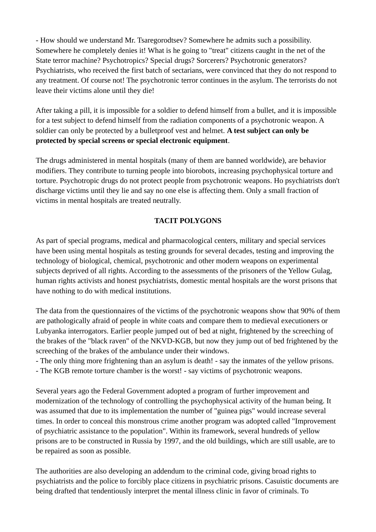- How should we understand Mr. Tsaregorodtsev? Somewhere he admits such a possibility. Somewhere he completely denies it! What is he going to "treat" citizens caught in the net of the State terror machine? Psychotropics? Special drugs? Sorcerers? Psychotronic generators? Psychiatrists, who received the first batch of sectarians, were convinced that they do not respond to any treatment. Of course not! The psychotronic terror continues in the asylum. The terrorists do not leave their victims alone until they die!

After taking a pill, it is impossible for a soldier to defend himself from a bullet, and it is impossible for a test subject to defend himself from the radiation components of a psychotronic weapon. A soldier can only be protected by a bulletproof vest and helmet. **A test subject can only be protected by special screens or special electronic equipment**.

The drugs administered in mental hospitals (many of them are banned worldwide), are behavior modifiers. They contribute to turning people into biorobots, increasing psychophysical torture and torture. Psychotropic drugs do not protect people from psychotronic weapons. Ho psychiatrists don't discharge victims until they lie and say no one else is affecting them. Only a small fraction of victims in mental hospitals are treated neutrally.

# **TACIT POLYGONS**

As part of special programs, medical and pharmacological centers, military and special services have been using mental hospitals as testing grounds for several decades, testing and improving the technology of biological, chemical, psychotronic and other modern weapons on experimental subjects deprived of all rights. According to the assessments of the prisoners of the Yellow Gulag, human rights activists and honest psychiatrists, domestic mental hospitals are the worst prisons that have nothing to do with medical institutions.

The data from the questionnaires of the victims of the psychotronic weapons show that 90% of them are pathologically afraid of people in white coats and compare them to medieval executioners or Lubyanka interrogators. Earlier people jumped out of bed at night, frightened by the screeching of the brakes of the "black raven" of the NKVD-KGB, but now they jump out of bed frightened by the screeching of the brakes of the ambulance under their windows.

- The only thing more frightening than an asylum is death! - say the inmates of the yellow prisons.

- The KGB remote torture chamber is the worst! - say victims of psychotronic weapons.

Several years ago the Federal Government adopted a program of further improvement and modernization of the technology of controlling the psychophysical activity of the human being. It was assumed that due to its implementation the number of "guinea pigs" would increase several times. In order to conceal this monstrous crime another program was adopted called "Improvement of psychiatric assistance to the population". Within its framework, several hundreds of yellow prisons are to be constructed in Russia by 1997, and the old buildings, which are still usable, are to be repaired as soon as possible.

The authorities are also developing an addendum to the criminal code, giving broad rights to psychiatrists and the police to forcibly place citizens in psychiatric prisons. Casuistic documents are being drafted that tendentiously interpret the mental illness clinic in favor of criminals. To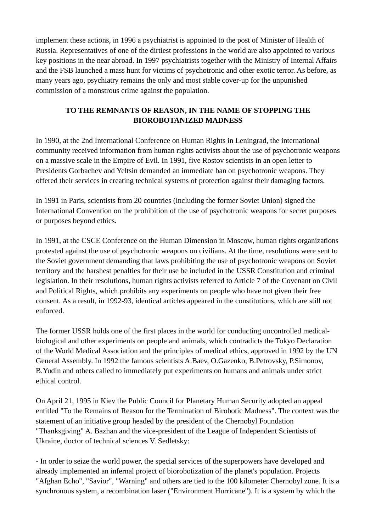implement these actions, in 1996 a psychiatrist is appointed to the post of Minister of Health of Russia. Representatives of one of the dirtiest professions in the world are also appointed to various key positions in the near abroad. In 1997 psychiatrists together with the Ministry of Internal Affairs and the FSB launched a mass hunt for victims of psychotronic and other exotic terror. As before, as many years ago, psychiatry remains the only and most stable cover-up for the unpunished commission of a monstrous crime against the population.

# **TO THE REMNANTS OF REASON, IN THE NAME OF STOPPING THE BIOROBOTANIZED MADNESS**

In 1990, at the 2nd International Conference on Human Rights in Leningrad, the international community received information from human rights activists about the use of psychotronic weapons on a massive scale in the Empire of Evil. In 1991, five Rostov scientists in an open letter to Presidents Gorbachev and Yeltsin demanded an immediate ban on psychotronic weapons. They offered their services in creating technical systems of protection against their damaging factors.

In 1991 in Paris, scientists from 20 countries (including the former Soviet Union) signed the International Convention on the prohibition of the use of psychotronic weapons for secret purposes or purposes beyond ethics.

In 1991, at the CSCE Conference on the Human Dimension in Moscow, human rights organizations protested against the use of psychotronic weapons on civilians. At the time, resolutions were sent to the Soviet government demanding that laws prohibiting the use of psychotronic weapons on Soviet territory and the harshest penalties for their use be included in the USSR Constitution and criminal legislation. In their resolutions, human rights activists referred to Article 7 of the Covenant on Civil and Political Rights, which prohibits any experiments on people who have not given their free consent. As a result, in 1992-93, identical articles appeared in the constitutions, which are still not enforced.

The former USSR holds one of the first places in the world for conducting uncontrolled medicalbiological and other experiments on people and animals, which contradicts the Tokyo Declaration of the World Medical Association and the principles of medical ethics, approved in 1992 by the UN General Assembly. In 1992 the famous scientists A.Baev, O.Gazenko, B.Petrovsky, P.Simonov, B.Yudin and others called to immediately put experiments on humans and animals under strict ethical control.

On April 21, 1995 in Kiev the Public Council for Planetary Human Security adopted an appeal entitled "To the Remains of Reason for the Termination of Birobotic Madness". The context was the statement of an initiative group headed by the president of the Chernobyl Foundation "Thanksgiving" A. Bazhan and the vice-president of the League of Independent Scientists of Ukraine, doctor of technical sciences V. Sedletsky:

- In order to seize the world power, the special services of the superpowers have developed and already implemented an infernal project of biorobotization of the planet's population. Projects "Afghan Echo", "Savior", "Warning" and others are tied to the 100 kilometer Chernobyl zone. It is a synchronous system, a recombination laser ("Environment Hurricane"). It is a system by which the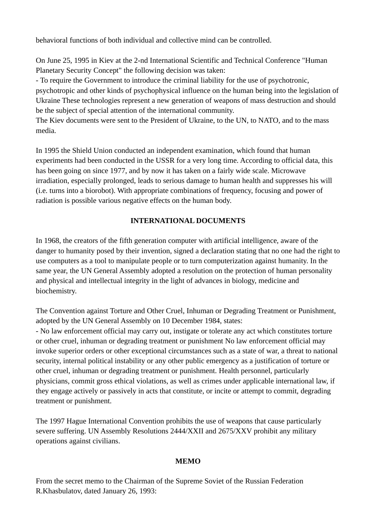behavioral functions of both individual and collective mind can be controlled.

On June 25, 1995 in Kiev at the 2-nd International Scientific and Technical Conference "Human Planetary Security Concept" the following decision was taken:

- To require the Government to introduce the criminal liability for the use of psychotronic, psychotropic and other kinds of psychophysical influence on the human being into the legislation of Ukraine These technologies represent a new generation of weapons of mass destruction and should be the subject of special attention of the international community.

The Kiev documents were sent to the President of Ukraine, to the UN, to NATO, and to the mass media.

In 1995 the Shield Union conducted an independent examination, which found that human experiments had been conducted in the USSR for a very long time. According to official data, this has been going on since 1977, and by now it has taken on a fairly wide scale. Microwave irradiation, especially prolonged, leads to serious damage to human health and suppresses his will (i.e. turns into a biorobot). With appropriate combinations of frequency, focusing and power of radiation is possible various negative effects on the human body.

## **INTERNATIONAL DOCUMENTS**

In 1968, the creators of the fifth generation computer with artificial intelligence, aware of the danger to humanity posed by their invention, signed a declaration stating that no one had the right to use computers as a tool to manipulate people or to turn computerization against humanity. In the same year, the UN General Assembly adopted a resolution on the protection of human personality and physical and intellectual integrity in the light of advances in biology, medicine and biochemistry.

The Convention against Torture and Other Cruel, Inhuman or Degrading Treatment or Punishment, adopted by the UN General Assembly on 10 December 1984, states:

- No law enforcement official may carry out, instigate or tolerate any act which constitutes torture or other cruel, inhuman or degrading treatment or punishment No law enforcement official may invoke superior orders or other exceptional circumstances such as a state of war, a threat to national security, internal political instability or any other public emergency as a justification of torture or other cruel, inhuman or degrading treatment or punishment. Health personnel, particularly physicians, commit gross ethical violations, as well as crimes under applicable international law, if they engage actively or passively in acts that constitute, or incite or attempt to commit, degrading treatment or punishment.

The 1997 Hague International Convention prohibits the use of weapons that cause particularly severe suffering. UN Assembly Resolutions 2444/XXII and 2675/XXV prohibit any military operations against civilians.

#### **MEMO**

From the secret memo to the Chairman of the Supreme Soviet of the Russian Federation R.Khasbulatov, dated January 26, 1993: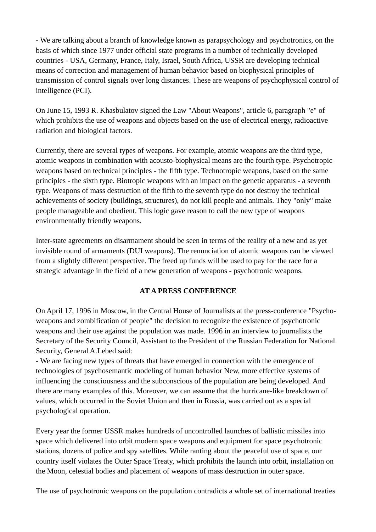- We are talking about a branch of knowledge known as parapsychology and psychotronics, on the basis of which since 1977 under official state programs in a number of technically developed countries - USA, Germany, France, Italy, Israel, South Africa, USSR are developing technical means of correction and management of human behavior based on biophysical principles of transmission of control signals over long distances. These are weapons of psychophysical control of intelligence (PCI).

On June 15, 1993 R. Khasbulatov signed the Law "About Weapons", article 6, paragraph "e" of which prohibits the use of weapons and objects based on the use of electrical energy, radioactive radiation and biological factors.

Currently, there are several types of weapons. For example, atomic weapons are the third type, atomic weapons in combination with acousto-biophysical means are the fourth type. Psychotropic weapons based on technical principles - the fifth type. Technotropic weapons, based on the same principles - the sixth type. Biotropic weapons with an impact on the genetic apparatus - a seventh type. Weapons of mass destruction of the fifth to the seventh type do not destroy the technical achievements of society (buildings, structures), do not kill people and animals. They "only" make people manageable and obedient. This logic gave reason to call the new type of weapons environmentally friendly weapons.

Inter-state agreements on disarmament should be seen in terms of the reality of a new and as yet invisible round of armaments (DUI weapons). The renunciation of atomic weapons can be viewed from a slightly different perspective. The freed up funds will be used to pay for the race for a strategic advantage in the field of a new generation of weapons - psychotronic weapons.

#### **AT A PRESS CONFERENCE**

On April 17, 1996 in Moscow, in the Central House of Journalists at the press-conference "Psychoweapons and zombification of people" the decision to recognize the existence of psychotronic weapons and their use against the population was made. 1996 in an interview to journalists the Secretary of the Security Council, Assistant to the President of the Russian Federation for National Security, General A.Lebed said:

- We are facing new types of threats that have emerged in connection with the emergence of technologies of psychosemantic modeling of human behavior New, more effective systems of influencing the consciousness and the subconscious of the population are being developed. And there are many examples of this. Moreover, we can assume that the hurricane-like breakdown of values, which occurred in the Soviet Union and then in Russia, was carried out as a special psychological operation.

Every year the former USSR makes hundreds of uncontrolled launches of ballistic missiles into space which delivered into orbit modern space weapons and equipment for space psychotronic stations, dozens of police and spy satellites. While ranting about the peaceful use of space, our country itself violates the Outer Space Treaty, which prohibits the launch into orbit, installation on the Moon, celestial bodies and placement of weapons of mass destruction in outer space.

The use of psychotronic weapons on the population contradicts a whole set of international treaties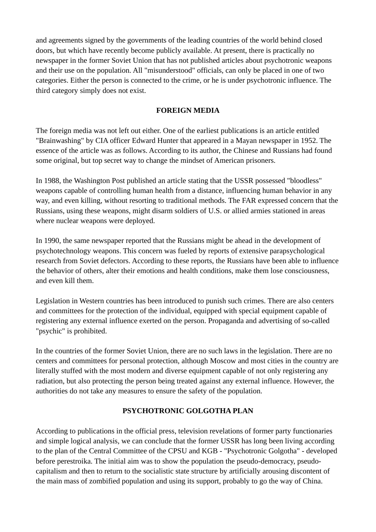and agreements signed by the governments of the leading countries of the world behind closed doors, but which have recently become publicly available. At present, there is practically no newspaper in the former Soviet Union that has not published articles about psychotronic weapons and their use on the population. All "misunderstood" officials, can only be placed in one of two categories. Either the person is connected to the crime, or he is under psychotronic influence. The third category simply does not exist.

### **FOREIGN MEDIA**

The foreign media was not left out either. One of the earliest publications is an article entitled "Brainwashing" by CIA officer Edward Hunter that appeared in a Mayan newspaper in 1952. The essence of the article was as follows. According to its author, the Chinese and Russians had found some original, but top secret way to change the mindset of American prisoners.

In 1988, the Washington Post published an article stating that the USSR possessed "bloodless" weapons capable of controlling human health from a distance, influencing human behavior in any way, and even killing, without resorting to traditional methods. The FAR expressed concern that the Russians, using these weapons, might disarm soldiers of U.S. or allied armies stationed in areas where nuclear weapons were deployed.

In 1990, the same newspaper reported that the Russians might be ahead in the development of psychotechnology weapons. This concern was fueled by reports of extensive parapsychological research from Soviet defectors. According to these reports, the Russians have been able to influence the behavior of others, alter their emotions and health conditions, make them lose consciousness, and even kill them.

Legislation in Western countries has been introduced to punish such crimes. There are also centers and committees for the protection of the individual, equipped with special equipment capable of registering any external influence exerted on the person. Propaganda and advertising of so-called "psychic" is prohibited.

In the countries of the former Soviet Union, there are no such laws in the legislation. There are no centers and committees for personal protection, although Moscow and most cities in the country are literally stuffed with the most modern and diverse equipment capable of not only registering any radiation, but also protecting the person being treated against any external influence. However, the authorities do not take any measures to ensure the safety of the population.

## **PSYCHOTRONIC GOLGOTHA PLAN**

According to publications in the official press, television revelations of former party functionaries and simple logical analysis, we can conclude that the former USSR has long been living according to the plan of the Central Committee of the CPSU and KGB - "Psychotronic Golgotha" - developed before perestroika. The initial aim was to show the population the pseudo-democracy, pseudocapitalism and then to return to the socialistic state structure by artificially arousing discontent of the main mass of zombified population and using its support, probably to go the way of China.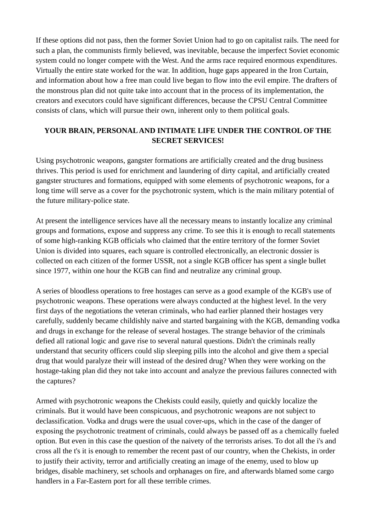If these options did not pass, then the former Soviet Union had to go on capitalist rails. The need for such a plan, the communists firmly believed, was inevitable, because the imperfect Soviet economic system could no longer compete with the West. And the arms race required enormous expenditures. Virtually the entire state worked for the war. In addition, huge gaps appeared in the Iron Curtain, and information about how a free man could live began to flow into the evil empire. The drafters of the monstrous plan did not quite take into account that in the process of its implementation, the creators and executors could have significant differences, because the CPSU Central Committee consists of clans, which will pursue their own, inherent only to them political goals.

## **YOUR BRAIN, PERSONAL AND INTIMATE LIFE UNDER THE CONTROL OF THE SECRET SERVICES!**

Using psychotronic weapons, gangster formations are artificially created and the drug business thrives. This period is used for enrichment and laundering of dirty capital, and artificially created gangster structures and formations, equipped with some elements of psychotronic weapons, for a long time will serve as a cover for the psychotronic system, which is the main military potential of the future military-police state.

At present the intelligence services have all the necessary means to instantly localize any criminal groups and formations, expose and suppress any crime. To see this it is enough to recall statements of some high-ranking KGB officials who claimed that the entire territory of the former Soviet Union is divided into squares, each square is controlled electronically, an electronic dossier is collected on each citizen of the former USSR, not a single KGB officer has spent a single bullet since 1977, within one hour the KGB can find and neutralize any criminal group.

A series of bloodless operations to free hostages can serve as a good example of the KGB's use of psychotronic weapons. These operations were always conducted at the highest level. In the very first days of the negotiations the veteran criminals, who had earlier planned their hostages very carefully, suddenly became childishly naive and started bargaining with the KGB, demanding vodka and drugs in exchange for the release of several hostages. The strange behavior of the criminals defied all rational logic and gave rise to several natural questions. Didn't the criminals really understand that security officers could slip sleeping pills into the alcohol and give them a special drug that would paralyze their will instead of the desired drug? When they were working on the hostage-taking plan did they not take into account and analyze the previous failures connected with the captures?

Armed with psychotronic weapons the Chekists could easily, quietly and quickly localize the criminals. But it would have been conspicuous, and psychotronic weapons are not subject to declassification. Vodka and drugs were the usual cover-ups, which in the case of the danger of exposing the psychotronic treatment of criminals, could always be passed off as a chemically fueled option. But even in this case the question of the naivety of the terrorists arises. To dot all the i's and cross all the t's it is enough to remember the recent past of our country, when the Chekists, in order to justify their activity, terror and artificially creating an image of the enemy, used to blow up bridges, disable machinery, set schools and orphanages on fire, and afterwards blamed some cargo handlers in a Far-Eastern port for all these terrible crimes.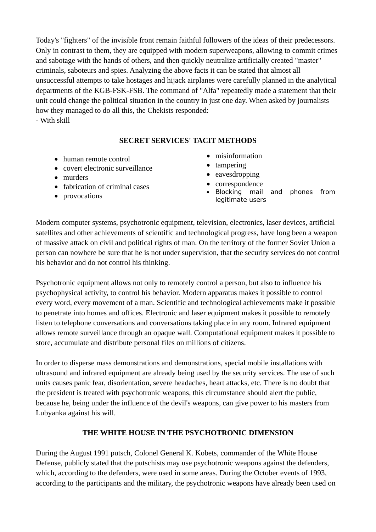Today's "fighters" of the invisible front remain faithful followers of the ideas of their predecessors. Only in contrast to them, they are equipped with modern superweapons, allowing to commit crimes and sabotage with the hands of others, and then quickly neutralize artificially created "master" criminals, saboteurs and spies. Analyzing the above facts it can be stated that almost all unsuccessful attempts to take hostages and hijack airplanes were carefully planned in the analytical departments of the KGB-FSK-FSB. The command of "Alfa" repeatedly made a statement that their unit could change the political situation in the country in just one day. When asked by journalists how they managed to do all this, the Chekists responded:

- With skill

### **SECRET SERVICES' TACIT METHODS**

- human remote control
- covert electronic surveillance
- murders
- fabrication of criminal cases
- provocations
- misinformation
- tampering
- eavesdropping
- correspondence
- Blocking mail and phones from legitimate users

Modern computer systems, psychotronic equipment, television, electronics, laser devices, artificial satellites and other achievements of scientific and technological progress, have long been a weapon of massive attack on civil and political rights of man. On the territory of the former Soviet Union a person can nowhere be sure that he is not under supervision, that the security services do not control his behavior and do not control his thinking.

Psychotronic equipment allows not only to remotely control a person, but also to influence his psychophysical activity, to control his behavior. Modern apparatus makes it possible to control every word, every movement of a man. Scientific and technological achievements make it possible to penetrate into homes and offices. Electronic and laser equipment makes it possible to remotely listen to telephone conversations and conversations taking place in any room. Infrared equipment allows remote surveillance through an opaque wall. Computational equipment makes it possible to store, accumulate and distribute personal files on millions of citizens.

In order to disperse mass demonstrations and demonstrations, special mobile installations with ultrasound and infrared equipment are already being used by the security services. The use of such units causes panic fear, disorientation, severe headaches, heart attacks, etc. There is no doubt that the president is treated with psychotronic weapons, this circumstance should alert the public, because he, being under the influence of the devil's weapons, can give power to his masters from Lubyanka against his will.

## **THE WHITE HOUSE IN THE PSYCHOTRONIC DIMENSION**

During the August 1991 putsch, Colonel General K. Kobets, commander of the White House Defense, publicly stated that the putschists may use psychotronic weapons against the defenders, which, according to the defenders, were used in some areas. During the October events of 1993, according to the participants and the military, the psychotronic weapons have already been used on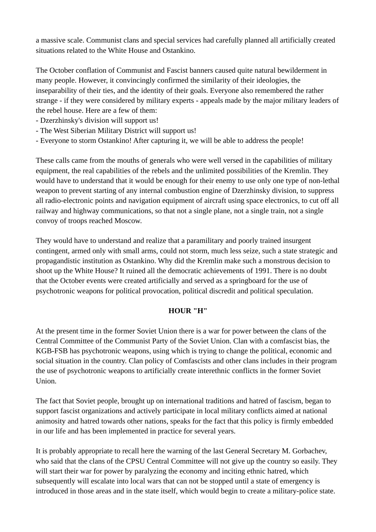a massive scale. Communist clans and special services had carefully planned all artificially created situations related to the White House and Ostankino.

The October conflation of Communist and Fascist banners caused quite natural bewilderment in many people. However, it convincingly confirmed the similarity of their ideologies, the inseparability of their ties, and the identity of their goals. Everyone also remembered the rather strange - if they were considered by military experts - appeals made by the major military leaders of the rebel house. Here are a few of them:

- Dzerzhinsky's division will support us!
- The West Siberian Military District will support us!
- Everyone to storm Ostankino! After capturing it, we will be able to address the people!

These calls came from the mouths of generals who were well versed in the capabilities of military equipment, the real capabilities of the rebels and the unlimited possibilities of the Kremlin. They would have to understand that it would be enough for their enemy to use only one type of non-lethal weapon to prevent starting of any internal combustion engine of Dzerzhinsky division, to suppress all radio-electronic points and navigation equipment of aircraft using space electronics, to cut off all railway and highway communications, so that not a single plane, not a single train, not a single convoy of troops reached Moscow.

They would have to understand and realize that a paramilitary and poorly trained insurgent contingent, armed only with small arms, could not storm, much less seize, such a state strategic and propagandistic institution as Ostankino. Why did the Kremlin make such a monstrous decision to shoot up the White House? It ruined all the democratic achievements of 1991. There is no doubt that the October events were created artificially and served as a springboard for the use of psychotronic weapons for political provocation, political discredit and political speculation.

#### **HOUR "H"**

At the present time in the former Soviet Union there is a war for power between the clans of the Central Committee of the Communist Party of the Soviet Union. Clan with a comfascist bias, the KGB-FSB has psychotronic weapons, using which is trying to change the political, economic and social situation in the country. Clan policy of Comfascists and other clans includes in their program the use of psychotronic weapons to artificially create interethnic conflicts in the former Soviet Union.

The fact that Soviet people, brought up on international traditions and hatred of fascism, began to support fascist organizations and actively participate in local military conflicts aimed at national animosity and hatred towards other nations, speaks for the fact that this policy is firmly embedded in our life and has been implemented in practice for several years.

It is probably appropriate to recall here the warning of the last General Secretary M. Gorbachev, who said that the clans of the CPSU Central Committee will not give up the country so easily. They will start their war for power by paralyzing the economy and inciting ethnic hatred, which subsequently will escalate into local wars that can not be stopped until a state of emergency is introduced in those areas and in the state itself, which would begin to create a military-police state.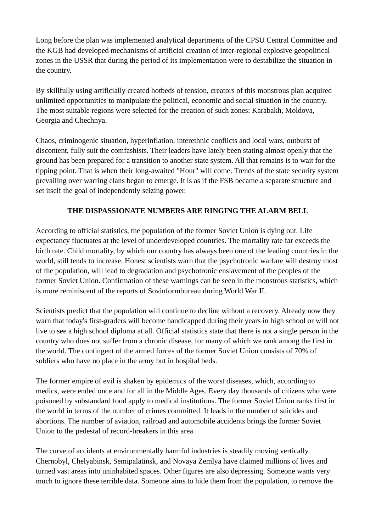Long before the plan was implemented analytical departments of the CPSU Central Committee and the KGB had developed mechanisms of artificial creation of inter-regional explosive geopolitical zones in the USSR that during the period of its implementation were to destabilize the situation in the country.

By skillfully using artificially created hotbeds of tension, creators of this monstrous plan acquired unlimited opportunities to manipulate the political, economic and social situation in the country. The most suitable regions were selected for the creation of such zones: Karabakh, Moldova, Georgia and Chechnya.

Chaos, criminogenic situation, hyperinflation, interethnic conflicts and local wars, outburst of discontent, fully suit the comfashists. Their leaders have lately been stating almost openly that the ground has been prepared for a transition to another state system. All that remains is to wait for the tipping point. That is when their long-awaited "Hour" will come. Trends of the state security system prevailing over warring clans began to emerge. It is as if the FSB became a separate structure and set itself the goal of independently seizing power.

# **THE DISPASSIONATE NUMBERS ARE RINGING THE ALARM BELL**

According to official statistics, the population of the former Soviet Union is dying out. Life expectancy fluctuates at the level of underdeveloped countries. The mortality rate far exceeds the birth rate. Child mortality, by which our country has always been one of the leading countries in the world, still tends to increase. Honest scientists warn that the psychotronic warfare will destroy most of the population, will lead to degradation and psychotronic enslavement of the peoples of the former Soviet Union. Confirmation of these warnings can be seen in the monstrous statistics, which is more reminiscent of the reports of Sovinformbureau during World War II.

Scientists predict that the population will continue to decline without a recovery. Already now they warn that today's first-graders will become handicapped during their years in high school or will not live to see a high school diploma at all. Official statistics state that there is not a single person in the country who does not suffer from a chronic disease, for many of which we rank among the first in the world. The contingent of the armed forces of the former Soviet Union consists of 70% of soldiers who have no place in the army but in hospital beds.

The former empire of evil is shaken by epidemics of the worst diseases, which, according to medics, were ended once and for all in the Middle Ages. Every day thousands of citizens who were poisoned by substandard food apply to medical institutions. The former Soviet Union ranks first in the world in terms of the number of crimes committed. It leads in the number of suicides and abortions. The number of aviation, railroad and automobile accidents brings the former Soviet Union to the pedestal of record-breakers in this area.

The curve of accidents at environmentally harmful industries is steadily moving vertically. Chernobyl, Chelyabinsk, Semipalatinsk, and Novaya Zemlya have claimed millions of lives and turned vast areas into uninhabited spaces. Other figures are also depressing. Someone wants very much to ignore these terrible data. Someone aims to hide them from the population, to remove the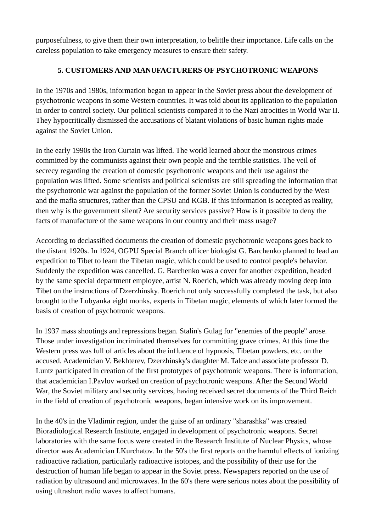purposefulness, to give them their own interpretation, to belittle their importance. Life calls on the careless population to take emergency measures to ensure their safety.

## **5. CUSTOMERS AND MANUFACTURERS OF PSYCHOTRONIC WEAPONS**

In the 1970s and 1980s, information began to appear in the Soviet press about the development of psychotronic weapons in some Western countries. It was told about its application to the population in order to control society. Our political scientists compared it to the Nazi atrocities in World War II. They hypocritically dismissed the accusations of blatant violations of basic human rights made against the Soviet Union.

In the early 1990s the Iron Curtain was lifted. The world learned about the monstrous crimes committed by the communists against their own people and the terrible statistics. The veil of secrecy regarding the creation of domestic psychotronic weapons and their use against the population was lifted. Some scientists and political scientists are still spreading the information that the psychotronic war against the population of the former Soviet Union is conducted by the West and the mafia structures, rather than the CPSU and KGB. If this information is accepted as reality, then why is the government silent? Are security services passive? How is it possible to deny the facts of manufacture of the same weapons in our country and their mass usage?

According to declassified documents the creation of domestic psychotronic weapons goes back to the distant 1920s. In 1924, OGPU Special Branch officer biologist G. Barchenko planned to lead an expedition to Tibet to learn the Tibetan magic, which could be used to control people's behavior. Suddenly the expedition was cancelled. G. Barchenko was a cover for another expedition, headed by the same special department employee, artist N. Roerich, which was already moving deep into Tibet on the instructions of Dzerzhinsky. Roerich not only successfully completed the task, but also brought to the Lubyanka eight monks, experts in Tibetan magic, elements of which later formed the basis of creation of psychotronic weapons.

In 1937 mass shootings and repressions began. Stalin's Gulag for "enemies of the people" arose. Those under investigation incriminated themselves for committing grave crimes. At this time the Western press was full of articles about the influence of hypnosis, Tibetan powders, etc. on the accused. Academician V. Bekhterev, Dzerzhinsky's daughter M. Talce and associate professor D. Luntz participated in creation of the first prototypes of psychotronic weapons. There is information, that academician I.Pavlov worked on creation of psychotronic weapons. After the Second World War, the Soviet military and security services, having received secret documents of the Third Reich in the field of creation of psychotronic weapons, began intensive work on its improvement.

In the 40's in the Vladimir region, under the guise of an ordinary "sharashka" was created Bioradiological Research Institute, engaged in development of psychotronic weapons. Secret laboratories with the same focus were created in the Research Institute of Nuclear Physics, whose director was Academician I.Kurchatov. In the 50's the first reports on the harmful effects of ionizing radioactive radiation, particularly radioactive isotopes, and the possibility of their use for the destruction of human life began to appear in the Soviet press. Newspapers reported on the use of radiation by ultrasound and microwaves. In the 60's there were serious notes about the possibility of using ultrashort radio waves to affect humans.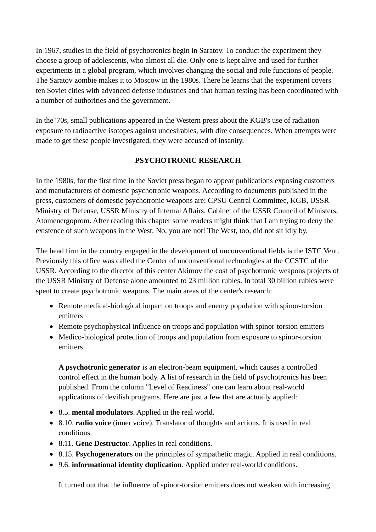In 1967, studies in the field of psychotronics begin in Saratov. To conduct the experiment they choose a group of adolescents, who almost all die. Only one is kept alive and used for further experiments in a global program, which involves changing the social and role functions of people. The Saratov zombie makes it to Moscow in the 1980s. There he learns that the experiment covers ten Soviet cities with advanced defense industries and that human testing has been coordinated with a number of authorities and the government.

In the '70s, small publications appeared in the Western press about the KGB's use of radiation exposure to radioactive isotopes against undesirables, with dire consequences. When attempts were made to get these people investigated, they were accused of insanity.

### **PSYCHOTRONIC RESEARCH**

In the 1980s, for the first time in the Soviet press began to appear publications exposing customers and manufacturers of domestic psychotronic weapons. According to documents published in the press, customers of domestic psychotronic weapons are: CPSU Central Committee, KGB, USSR Ministry of Defense, USSR Ministry of Internal Affairs, Cabinet of the USSR Council of Ministers, Atomenergoprom. After reading this chapter some readers might think that I am trying to deny the existence of such weapons in the West. No, you are not! The West, too, did not sit idly by.

The head firm in the country engaged in the development of unconventional fields is the ISTC Vent. Previously this office was called the Center of unconventional technologies at the CCSTC of the USSR. According to the director of this center Akimov the cost of psychotronic weapons projects of the USSR Ministry of Defense alone amounted to 23 million rubles. In total 30 billion rubles were spent to create psychotronic weapons. The main areas of the center's research:

- Remote medical-biological impact on troops and enemy population with spinor-torsion emitters
- Remote psychophysical influence on troops and population with spinor-torsion emitters
- Medico-biological protection of troops and population from exposure to spinor-torsion emitters

**A psychotronic generator** is an electron-beam equipment, which causes a controlled control effect in the human body. A list of research in the field of psychotronics has been published. From the column "Level of Readiness" one can learn about real-world applications of devilish programs. Here are just a few that are actually applied:

- 8.5. **mental modulators**. Applied in the real world.
- 8.10. **radio voice** (inner voice). Translator of thoughts and actions. It is used in real conditions.
- 8.11. **Gene Destructor**. Applies in real conditions.
- 8.15. **Psychogenerators** on the principles of sympathetic magic. Applied in real conditions.
- 9.6. **informational identity duplication**. Applied under real-world conditions.

It turned out that the influence of spinor-torsion emitters does not weaken with increasing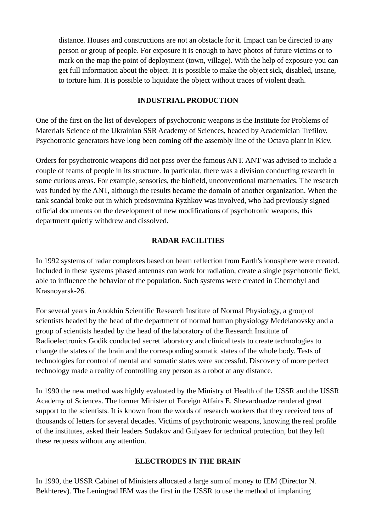distance. Houses and constructions are not an obstacle for it. Impact can be directed to any person or group of people. For exposure it is enough to have photos of future victims or to mark on the map the point of deployment (town, village). With the help of exposure you can get full information about the object. It is possible to make the object sick, disabled, insane, to torture him. It is possible to liquidate the object without traces of violent death.

#### **INDUSTRIAL PRODUCTION**

One of the first on the list of developers of psychotronic weapons is the Institute for Problems of Materials Science of the Ukrainian SSR Academy of Sciences, headed by Academician Trefilov. Psychotronic generators have long been coming off the assembly line of the Octava plant in Kiev.

Orders for psychotronic weapons did not pass over the famous ANT. ANT was advised to include a couple of teams of people in its structure. In particular, there was a division conducting research in some curious areas. For example, sensorics, the biofield, unconventional mathematics. The research was funded by the ANT, although the results became the domain of another organization. When the tank scandal broke out in which predsovmina Ryzhkov was involved, who had previously signed official documents on the development of new modifications of psychotronic weapons, this department quietly withdrew and dissolved.

## **RADAR FACILITIES**

In 1992 systems of radar complexes based on beam reflection from Earth's ionosphere were created. Included in these systems phased antennas can work for radiation, create a single psychotronic field, able to influence the behavior of the population. Such systems were created in Chernobyl and Krasnoyarsk-26.

For several years in Anokhin Scientific Research Institute of Normal Physiology, a group of scientists headed by the head of the department of normal human physiology Medelanovsky and a group of scientists headed by the head of the laboratory of the Research Institute of Radioelectronics Godik conducted secret laboratory and clinical tests to create technologies to change the states of the brain and the corresponding somatic states of the whole body. Tests of technologies for control of mental and somatic states were successful. Discovery of more perfect technology made a reality of controlling any person as a robot at any distance.

In 1990 the new method was highly evaluated by the Ministry of Health of the USSR and the USSR Academy of Sciences. The former Minister of Foreign Affairs E. Shevardnadze rendered great support to the scientists. It is known from the words of research workers that they received tens of thousands of letters for several decades. Victims of psychotronic weapons, knowing the real profile of the institutes, asked their leaders Sudakov and Gulyaev for technical protection, but they left these requests without any attention.

## **ELECTRODES IN THE BRAIN**

In 1990, the USSR Cabinet of Ministers allocated a large sum of money to IEM (Director N. Bekhterev). The Leningrad IEM was the first in the USSR to use the method of implanting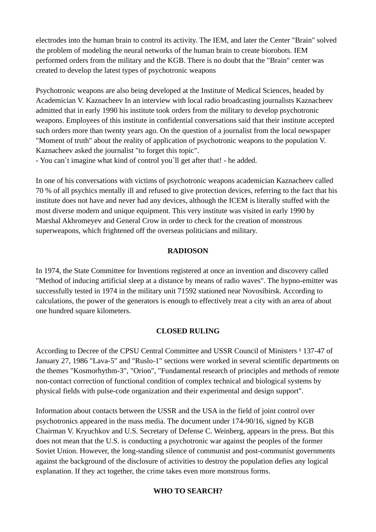electrodes into the human brain to control its activity. The IEM, and later the Center "Brain" solved the problem of modeling the neural networks of the human brain to create biorobots. IEM performed orders from the military and the KGB. There is no doubt that the "Brain" center was created to develop the latest types of psychotronic weapons

Psychotronic weapons are also being developed at the Institute of Medical Sciences, headed by Academician V. Kaznacheev In an interview with local radio broadcasting journalists Kaznacheev admitted that in early 1990 his institute took orders from the military to develop psychotronic weapons. Employees of this institute in confidential conversations said that their institute accepted such orders more than twenty years ago. On the question of a journalist from the local newspaper "Moment of truth" about the reality of application of psychotronic weapons to the population V. Kaznacheev asked the journalist "to forget this topic".

- You can`t imagine what kind of control you`ll get after that! - he added.

In one of his conversations with victims of psychotronic weapons academician Kaznacheev called 70 % of all psychics mentally ill and refused to give protection devices, referring to the fact that his institute does not have and never had any devices, although the ICEM is literally stuffed with the most diverse modern and unique equipment. This very institute was visited in early 1990 by Marshal Akhromeyev and General Crow in order to check for the creation of monstrous superweapons, which frightened off the overseas politicians and military.

## **RADIOSON**

In 1974, the State Committee for Inventions registered at once an invention and discovery called "Method of inducing artificial sleep at a distance by means of radio waves". The hypno-emitter was successfully tested in 1974 in the military unit 71592 stationed near Novosibirsk. According to calculations, the power of the generators is enough to effectively treat a city with an area of about one hundred square kilometers.

## **CLOSED RULING**

According to Decree of the CPSU Central Committee and USSR Council of Ministers <sup>1</sup> 137-47 of January 27, 1986 "Lava-5" and "Ruslo-1" sections were worked in several scientific departments on the themes "Kosmorhythm-3", "Orion", "Fundamental research of principles and methods of remote non-contact correction of functional condition of complex technical and biological systems by physical fields with pulse-code organization and their experimental and design support".

Information about contacts between the USSR and the USA in the field of joint control over psychotronics appeared in the mass media. The document under 174-90/16, signed by KGB Chairman V. Kryuchkov and U.S. Secretary of Defense C. Weinberg, appears in the press. But this does not mean that the U.S. is conducting a psychotronic war against the peoples of the former Soviet Union. However, the long-standing silence of communist and post-communist governments against the background of the disclosure of activities to destroy the population defies any logical explanation. If they act together, the crime takes even more monstrous forms.

## **WHO TO SEARCH?**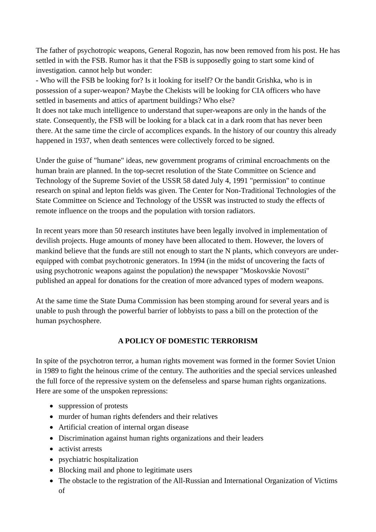The father of psychotropic weapons, General Rogozin, has now been removed from his post. He has settled in with the FSB. Rumor has it that the FSB is supposedly going to start some kind of investigation. cannot help but wonder:

- Who will the FSB be looking for? Is it looking for itself? Or the bandit Grishka, who is in possession of a super-weapon? Maybe the Chekists will be looking for CIA officers who have settled in basements and attics of apartment buildings? Who else?

It does not take much intelligence to understand that super-weapons are only in the hands of the state. Consequently, the FSB will be looking for a black cat in a dark room that has never been there. At the same time the circle of accomplices expands. In the history of our country this already happened in 1937, when death sentences were collectively forced to be signed.

Under the guise of "humane" ideas, new government programs of criminal encroachments on the human brain are planned. In the top-secret resolution of the State Committee on Science and Technology of the Supreme Soviet of the USSR 58 dated July 4, 1991 "permission" to continue research on spinal and lepton fields was given. The Center for Non-Traditional Technologies of the State Committee on Science and Technology of the USSR was instructed to study the effects of remote influence on the troops and the population with torsion radiators.

In recent years more than 50 research institutes have been legally involved in implementation of devilish projects. Huge amounts of money have been allocated to them. However, the lovers of mankind believe that the funds are still not enough to start the N plants, which conveyors are underequipped with combat psychotronic generators. In 1994 (in the midst of uncovering the facts of using psychotronic weapons against the population) the newspaper "Moskovskie Novosti" published an appeal for donations for the creation of more advanced types of modern weapons.

At the same time the State Duma Commission has been stomping around for several years and is unable to push through the powerful barrier of lobbyists to pass a bill on the protection of the human psychosphere.

## **A POLICY OF DOMESTIC TERRORISM**

In spite of the psychotron terror, a human rights movement was formed in the former Soviet Union in 1989 to fight the heinous crime of the century. The authorities and the special services unleashed the full force of the repressive system on the defenseless and sparse human rights organizations. Here are some of the unspoken repressions:

- suppression of protests
- murder of human rights defenders and their relatives
- Artificial creation of internal organ disease
- Discrimination against human rights organizations and their leaders
- activist arrests
- psychiatric hospitalization
- Blocking mail and phone to legitimate users
- The obstacle to the registration of the All-Russian and International Organization of Victims of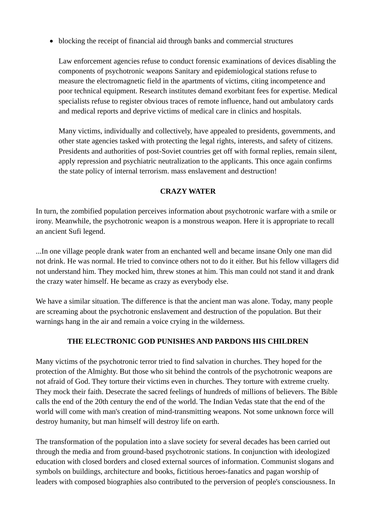blocking the receipt of financial aid through banks and commercial structures

Law enforcement agencies refuse to conduct forensic examinations of devices disabling the components of psychotronic weapons Sanitary and epidemiological stations refuse to measure the electromagnetic field in the apartments of victims, citing incompetence and poor technical equipment. Research institutes demand exorbitant fees for expertise. Medical specialists refuse to register obvious traces of remote influence, hand out ambulatory cards and medical reports and deprive victims of medical care in clinics and hospitals.

Many victims, individually and collectively, have appealed to presidents, governments, and other state agencies tasked with protecting the legal rights, interests, and safety of citizens. Presidents and authorities of post-Soviet countries get off with formal replies, remain silent, apply repression and psychiatric neutralization to the applicants. This once again confirms the state policy of internal terrorism. mass enslavement and destruction!

#### **CRAZY WATER**

In turn, the zombified population perceives information about psychotronic warfare with a smile or irony. Meanwhile, the psychotronic weapon is a monstrous weapon. Here it is appropriate to recall an ancient Sufi legend.

...In one village people drank water from an enchanted well and became insane Only one man did not drink. He was normal. He tried to convince others not to do it either. But his fellow villagers did not understand him. They mocked him, threw stones at him. This man could not stand it and drank the crazy water himself. He became as crazy as everybody else.

We have a similar situation. The difference is that the ancient man was alone. Today, many people are screaming about the psychotronic enslavement and destruction of the population. But their warnings hang in the air and remain a voice crying in the wilderness.

#### **THE ELECTRONIC GOD PUNISHES AND PARDONS HIS CHILDREN**

Many victims of the psychotronic terror tried to find salvation in churches. They hoped for the protection of the Almighty. But those who sit behind the controls of the psychotronic weapons are not afraid of God. They torture their victims even in churches. They torture with extreme cruelty. They mock their faith. Desecrate the sacred feelings of hundreds of millions of believers. The Bible calls the end of the 20th century the end of the world. The Indian Vedas state that the end of the world will come with man's creation of mind-transmitting weapons. Not some unknown force will destroy humanity, but man himself will destroy life on earth.

The transformation of the population into a slave society for several decades has been carried out through the media and from ground-based psychotronic stations. In conjunction with ideologized education with closed borders and closed external sources of information. Communist slogans and symbols on buildings, architecture and books, fictitious heroes-fanatics and pagan worship of leaders with composed biographies also contributed to the perversion of people's consciousness. In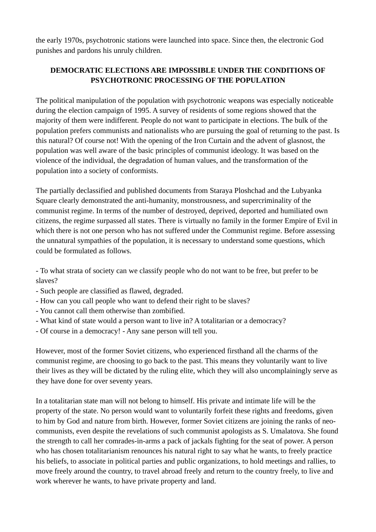the early 1970s, psychotronic stations were launched into space. Since then, the electronic God punishes and pardons his unruly children.

# **DEMOCRATIC ELECTIONS ARE IMPOSSIBLE UNDER THE CONDITIONS OF PSYCHOTRONIC PROCESSING OF THE POPULATION**

The political manipulation of the population with psychotronic weapons was especially noticeable during the election campaign of 1995. A survey of residents of some regions showed that the majority of them were indifferent. People do not want to participate in elections. The bulk of the population prefers communists and nationalists who are pursuing the goal of returning to the past. Is this natural? Of course not! With the opening of the Iron Curtain and the advent of glasnost, the population was well aware of the basic principles of communist ideology. It was based on the violence of the individual, the degradation of human values, and the transformation of the population into a society of conformists.

The partially declassified and published documents from Staraya Ploshchad and the Lubyanka Square clearly demonstrated the anti-humanity, monstrousness, and supercriminality of the communist regime. In terms of the number of destroyed, deprived, deported and humiliated own citizens, the regime surpassed all states. There is virtually no family in the former Empire of Evil in which there is not one person who has not suffered under the Communist regime. Before assessing the unnatural sympathies of the population, it is necessary to understand some questions, which could be formulated as follows.

- To what strata of society can we classify people who do not want to be free, but prefer to be slaves?

- Such people are classified as flawed, degraded.
- How can you call people who want to defend their right to be slaves?
- You cannot call them otherwise than zombified.
- What kind of state would a person want to live in? A totalitarian or a democracy?
- Of course in a democracy! Any sane person will tell you.

However, most of the former Soviet citizens, who experienced firsthand all the charms of the communist regime, are choosing to go back to the past. This means they voluntarily want to live their lives as they will be dictated by the ruling elite, which they will also uncomplainingly serve as they have done for over seventy years.

In a totalitarian state man will not belong to himself. His private and intimate life will be the property of the state. No person would want to voluntarily forfeit these rights and freedoms, given to him by God and nature from birth. However, former Soviet citizens are joining the ranks of neocommunists, even despite the revelations of such communist apologists as S. Umalatova. She found the strength to call her comrades-in-arms a pack of jackals fighting for the seat of power. A person who has chosen totalitarianism renounces his natural right to say what he wants, to freely practice his beliefs, to associate in political parties and public organizations, to hold meetings and rallies, to move freely around the country, to travel abroad freely and return to the country freely, to live and work wherever he wants, to have private property and land.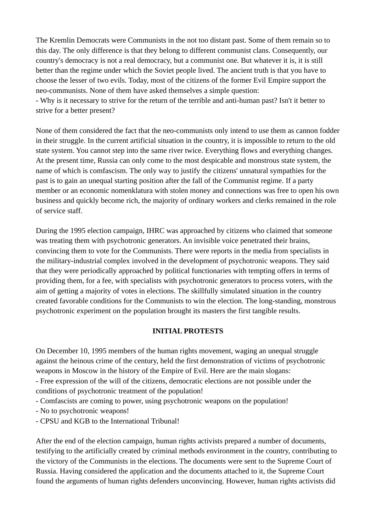The Kremlin Democrats were Communists in the not too distant past. Some of them remain so to this day. The only difference is that they belong to different communist clans. Consequently, our country's democracy is not a real democracy, but a communist one. But whatever it is, it is still better than the regime under which the Soviet people lived. The ancient truth is that you have to choose the lesser of two evils. Today, most of the citizens of the former Evil Empire support the neo-communists. None of them have asked themselves a simple question:

- Why is it necessary to strive for the return of the terrible and anti-human past? Isn't it better to strive for a better present?

None of them considered the fact that the neo-communists only intend to use them as cannon fodder in their struggle. In the current artificial situation in the country, it is impossible to return to the old state system. You cannot step into the same river twice. Everything flows and everything changes. At the present time, Russia can only come to the most despicable and monstrous state system, the name of which is comfascism. The only way to justify the citizens' unnatural sympathies for the past is to gain an unequal starting position after the fall of the Communist regime. If a party member or an economic nomenklatura with stolen money and connections was free to open his own business and quickly become rich, the majority of ordinary workers and clerks remained in the role of service staff.

During the 1995 election campaign, IHRC was approached by citizens who claimed that someone was treating them with psychotronic generators. An invisible voice penetrated their brains, convincing them to vote for the Communists. There were reports in the media from specialists in the military-industrial complex involved in the development of psychotronic weapons. They said that they were periodically approached by political functionaries with tempting offers in terms of providing them, for a fee, with specialists with psychotronic generators to process voters, with the aim of getting a majority of votes in elections. The skillfully simulated situation in the country created favorable conditions for the Communists to win the election. The long-standing, monstrous psychotronic experiment on the population brought its masters the first tangible results.

#### **INITIAL PROTESTS**

On December 10, 1995 members of the human rights movement, waging an unequal struggle against the heinous crime of the century, held the first demonstration of victims of psychotronic weapons in Moscow in the history of the Empire of Evil. Here are the main slogans:

- Free expression of the will of the citizens, democratic elections are not possible under the conditions of psychotronic treatment of the population!

- Comfascists are coming to power, using psychotronic weapons on the population!
- No to psychotronic weapons!
- CPSU and KGB to the International Tribunal!

After the end of the election campaign, human rights activists prepared a number of documents, testifying to the artificially created by criminal methods environment in the country, contributing to the victory of the Communists in the elections. The documents were sent to the Supreme Court of Russia. Having considered the application and the documents attached to it, the Supreme Court found the arguments of human rights defenders unconvincing. However, human rights activists did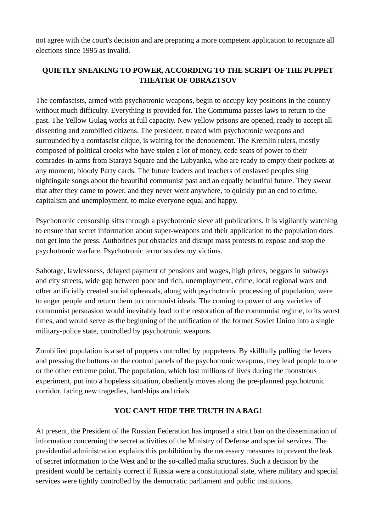not agree with the court's decision and are preparing a more competent application to recognize all elections since 1995 as invalid.

# **QUIETLY SNEAKING TO POWER, ACCORDING TO THE SCRIPT OF THE PUPPET THEATER OF OBRAZTSOV**

The comfascists, armed with psychotronic weapons, begin to occupy key positions in the country without much difficulty. Everything is provided for. The Commuma passes laws to return to the past. The Yellow Gulag works at full capacity. New yellow prisons are opened, ready to accept all dissenting and zombified citizens. The president, treated with psychotronic weapons and surrounded by a comfascist clique, is waiting for the denouement. The Kremlin rulers, mostly composed of political crooks who have stolen a lot of money, cede seats of power to their comrades-in-arms from Staraya Square and the Lubyanka, who are ready to empty their pockets at any moment, bloody Party cards. The future leaders and teachers of enslaved peoples sing nightingale songs about the beautiful communist past and an equally beautiful future. They swear that after they came to power, and they never went anywhere, to quickly put an end to crime, capitalism and unemployment, to make everyone equal and happy.

Psychotronic censorship sifts through a psychotronic sieve all publications. It is vigilantly watching to ensure that secret information about super-weapons and their application to the population does not get into the press. Authorities put obstacles and disrupt mass protests to expose and stop the psychotronic warfare. Psychotronic terrorists destroy victims.

Sabotage, lawlessness, delayed payment of pensions and wages, high prices, beggars in subways and city streets, wide gap between poor and rich, unemployment, crime, local regional wars and other artificially created social upheavals, along with psychotronic processing of population, were to anger people and return them to communist ideals. The coming to power of any varieties of communist persuasion would inevitably lead to the restoration of the communist regime, to its worst times, and would serve as the beginning of the unification of the former Soviet Union into a single military-police state, controlled by psychotronic weapons.

Zombified population is a set of puppets controlled by puppeteers. By skillfully pulling the levers and pressing the buttons on the control panels of the psychotronic weapons, they lead people to one or the other extreme point. The population, which lost millions of lives during the monstrous experiment, put into a hopeless situation, obediently moves along the pre-planned psychotronic corridor, facing new tragedies, hardships and trials.

#### **YOU CAN'T HIDE THE TRUTH IN A BAG!**

At present, the President of the Russian Federation has imposed a strict ban on the dissemination of information concerning the secret activities of the Ministry of Defense and special services. The presidential administration explains this prohibition by the necessary measures to prevent the leak of secret information to the West and to the so-called mafia structures. Such a decision by the president would be certainly correct if Russia were a constitutional state, where military and special services were tightly controlled by the democratic parliament and public institutions.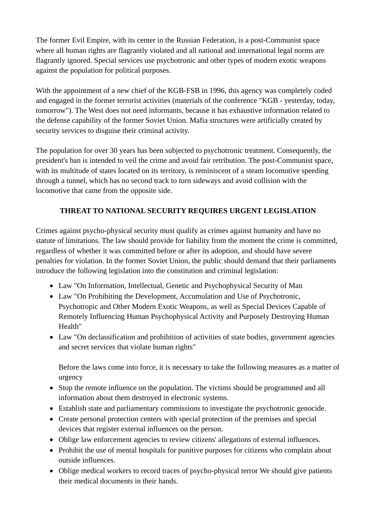The former Evil Empire, with its center in the Russian Federation, is a post-Communist space where all human rights are flagrantly violated and all national and international legal norms are flagrantly ignored. Special services use psychotronic and other types of modern exotic weapons against the population for political purposes.

With the appointment of a new chief of the KGB-FSB in 1996, this agency was completely coded and engaged in the former terrorist activities (materials of the conference "KGB - yesterday, today, tomorrow"). The West does not need informants, because it has exhaustive information related to the defense capability of the former Soviet Union. Mafia structures were artificially created by security services to disguise their criminal activity.

The population for over 30 years has been subjected to psychotronic treatment. Consequently, the president's ban is intended to veil the crime and avoid fair retribution. The post-Communist space, with its multitude of states located on its territory, is reminiscent of a steam locomotive speeding through a tunnel, which has no second track to turn sideways and avoid collision with the locomotive that came from the opposite side.

# **THREAT TO NATIONAL SECURITY REQUIRES URGENT LEGISLATION**

Crimes against psycho-physical security must qualify as crimes against humanity and have no statute of limitations. The law should provide for liability from the moment the crime is committed, regardless of whether it was committed before or after its adoption, and should have severe penalties for violation. In the former Soviet Union, the public should demand that their parliaments introduce the following legislation into the constitution and criminal legislation:

- Law "On Information, Intellectual, Genetic and Psychophysical Security of Man
- Law "On Prohibiting the Development, Accumulation and Use of Psychotronic, Psychotropic and Other Modern Exotic Weapons, as well as Special Devices Capable of Remotely Influencing Human Psychophysical Activity and Purposely Destroying Human Health"
- Law "On declassification and prohibition of activities of state bodies, government agencies and secret services that violate human rights"

Before the laws come into force, it is necessary to take the following measures as a matter of urgency

- Stop the remote influence on the population. The victims should be programmed and all information about them destroyed in electronic systems.
- Establish state and parliamentary commissions to investigate the psychotronic genocide.
- Create personal protection centers with special protection of the premises and special devices that register external influences on the person.
- Oblige law enforcement agencies to review citizens' allegations of external influences.
- Prohibit the use of mental hospitals for punitive purposes for citizens who complain about outside influences.
- Oblige medical workers to record traces of psycho-physical terror We should give patients their medical documents in their hands.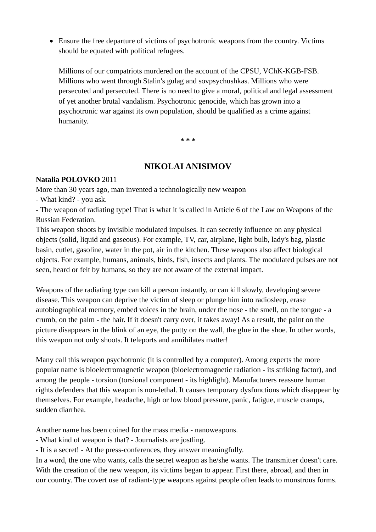Ensure the free departure of victims of psychotronic weapons from the country. Victims should be equated with political refugees.

Millions of our compatriots murdered on the account of the CPSU, VChK-KGB-FSB. Millions who went through Stalin's gulag and sovpsychushkas. Millions who were persecuted and persecuted. There is no need to give a moral, political and legal assessment of yet another brutal vandalism. Psychotronic genocide, which has grown into a psychotronic war against its own population, should be qualified as a crime against humanity.

**\* \* \*** 

# **NIKOLAI ANISIMOV**

#### **Natalia POLOVKO** 2011

More than 30 years ago, man invented a technologically new weapon

- What kind? - you ask.

- The weapon of radiating type! That is what it is called in Article 6 of the Law on Weapons of the Russian Federation.

This weapon shoots by invisible modulated impulses. It can secretly influence on any physical objects (solid, liquid and gaseous). For example, TV, car, airplane, light bulb, lady's bag, plastic basin, cutlet, gasoline, water in the pot, air in the kitchen. These weapons also affect biological objects. For example, humans, animals, birds, fish, insects and plants. The modulated pulses are not seen, heard or felt by humans, so they are not aware of the external impact.

Weapons of the radiating type can kill a person instantly, or can kill slowly, developing severe disease. This weapon can deprive the victim of sleep or plunge him into radiosleep, erase autobiographical memory, embed voices in the brain, under the nose - the smell, on the tongue - a crumb, on the palm - the hair. If it doesn't carry over, it takes away! As a result, the paint on the picture disappears in the blink of an eye, the putty on the wall, the glue in the shoe. In other words, this weapon not only shoots. It teleports and annihilates matter!

Many call this weapon psychotronic (it is controlled by a computer). Among experts the more popular name is bioelectromagnetic weapon (bioelectromagnetic radiation - its striking factor), and among the people - torsion (torsional component - its highlight). Manufacturers reassure human rights defenders that this weapon is non-lethal. It causes temporary dysfunctions which disappear by themselves. For example, headache, high or low blood pressure, panic, fatigue, muscle cramps, sudden diarrhea.

Another name has been coined for the mass media - nanoweapons.

- What kind of weapon is that? - Journalists are jostling.

- It is a secret! - At the press-conferences, they answer meaningfully.

In a word, the one who wants, calls the secret weapon as he/she wants. The transmitter doesn't care. With the creation of the new weapon, its victims began to appear. First there, abroad, and then in our country. The covert use of radiant-type weapons against people often leads to monstrous forms.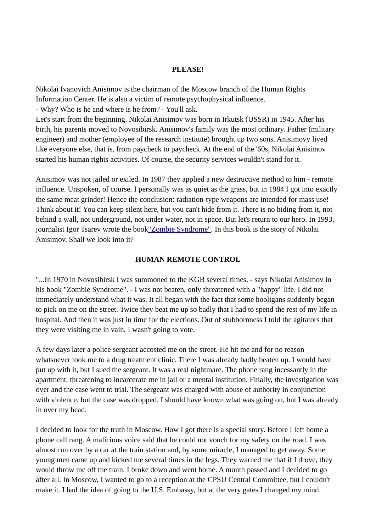#### **PLEASE!**

Nikolai Ivanovich Anisimov is the chairman of the Moscow branch of the Human Rights Information Center. He is also a victim of remote psychophysical influence.

- Why? Who is he and where is he from? - You'll ask.

Let's start from the beginning. Nikolai Anisimov was born in Irkutsk (USSR) in 1945. After his birth, his parents moved to Novosibirsk. Anisimov's family was the most ordinary. Father (military engineer) and mother (employee of the research institute) brought up two sons. Anisimovy lived like everyone else, that is, from paycheck to paycheck. At the end of the '60s, Nikolai Anisimov started his human rights activities. Of course, the security services wouldn't stand for it.

Anisimov was not jailed or exiled. In 1987 they applied a new destructive method to him - remote influence. Unspoken, of course. I personally was as quiet as the grass, but in 1984 I got into exactly the same meat grinder! Hence the conclusion: radiation-type weapons are intended for mass use! Think about it! You can keep silent here, but you can't hide from it. There is no hiding from it, not behind a wall, not underground, not under water, not in space. But let's return to our hero. In 1993, journalist Igor Tsarev wrote the book" Zombie Syndrome". In this book is the story of Nikolai Anisimov. Shall we look into it?

#### **HUMAN REMOTE CONTROL**

"...In 1970 in Novosibirsk I was summoned to the KGB several times. - says Nikolai Anisimov in his book "Zombie Syndrome". - I was not beaten, only threatened with a "happy" life. I did not immediately understand what it was. It all began with the fact that some hooligans suddenly began to pick on me on the street. Twice they beat me up so badly that I had to spend the rest of my life in hospital. And then it was just in time for the elections. Out of stubbornness I told the agitators that they were visiting me in vain, I wasn't going to vote.

A few days later a police sergeant accosted me on the street. He hit me and for no reason whatsoever took me to a drug treatment clinic. There I was already badly beaten up. I would have put up with it, but I sued the sergeant. It was a real nightmare. The phone rang incessantly in the apartment, threatening to incarcerate me in jail or a mental institution. Finally, the investigation was over and the case went to trial. The sergeant was charged with abuse of authority in conjunction with violence, but the case was dropped. I should have known what was going on, but I was already in over my head.

I decided to look for the truth in Moscow. How I got there is a special story. Before I left home a phone call rang. A malicious voice said that he could not vouch for my safety on the road. I was almost run over by a car at the train station and, by some miracle, I managed to get away. Some young men came up and kicked me several times in the legs. They warned me that if I drove, they would throw me off the train. I broke down and went home. A month passed and I decided to go after all. In Moscow, I wanted to go to a reception at the CPSU Central Committee, but I couldn't make it. I had the idea of going to the U.S. Embassy, but at the very gates I changed my mind.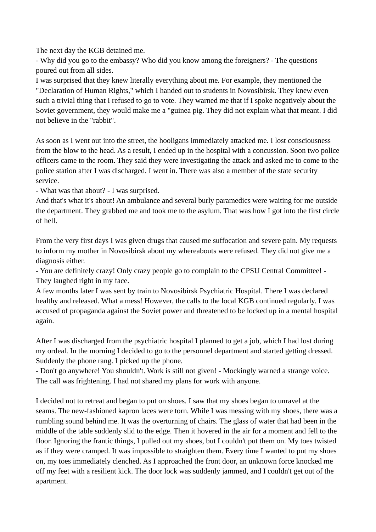The next day the KGB detained me.

- Why did you go to the embassy? Who did you know among the foreigners? - The questions poured out from all sides.

I was surprised that they knew literally everything about me. For example, they mentioned the "Declaration of Human Rights," which I handed out to students in Novosibirsk. They knew even such a trivial thing that I refused to go to vote. They warned me that if I spoke negatively about the Soviet government, they would make me a "guinea pig. They did not explain what that meant. I did not believe in the "rabbit".

As soon as I went out into the street, the hooligans immediately attacked me. I lost consciousness from the blow to the head. As a result, I ended up in the hospital with a concussion. Soon two police officers came to the room. They said they were investigating the attack and asked me to come to the police station after I was discharged. I went in. There was also a member of the state security service.

- What was that about? - I was surprised.

And that's what it's about! An ambulance and several burly paramedics were waiting for me outside the department. They grabbed me and took me to the asylum. That was how I got into the first circle of hell.

From the very first days I was given drugs that caused me suffocation and severe pain. My requests to inform my mother in Novosibirsk about my whereabouts were refused. They did not give me a diagnosis either.

- You are definitely crazy! Only crazy people go to complain to the CPSU Central Committee! - They laughed right in my face.

A few months later I was sent by train to Novosibirsk Psychiatric Hospital. There I was declared healthy and released. What a mess! However, the calls to the local KGB continued regularly. I was accused of propaganda against the Soviet power and threatened to be locked up in a mental hospital again.

After I was discharged from the psychiatric hospital I planned to get a job, which I had lost during my ordeal. In the morning I decided to go to the personnel department and started getting dressed. Suddenly the phone rang. I picked up the phone.

- Don't go anywhere! You shouldn't. Work is still not given! - Mockingly warned a strange voice. The call was frightening. I had not shared my plans for work with anyone.

I decided not to retreat and began to put on shoes. I saw that my shoes began to unravel at the seams. The new-fashioned kapron laces were torn. While I was messing with my shoes, there was a rumbling sound behind me. It was the overturning of chairs. The glass of water that had been in the middle of the table suddenly slid to the edge. Then it hovered in the air for a moment and fell to the floor. Ignoring the frantic things, I pulled out my shoes, but I couldn't put them on. My toes twisted as if they were cramped. It was impossible to straighten them. Every time I wanted to put my shoes on, my toes immediately clenched. As I approached the front door, an unknown force knocked me off my feet with a resilient kick. The door lock was suddenly jammed, and I couldn't get out of the apartment.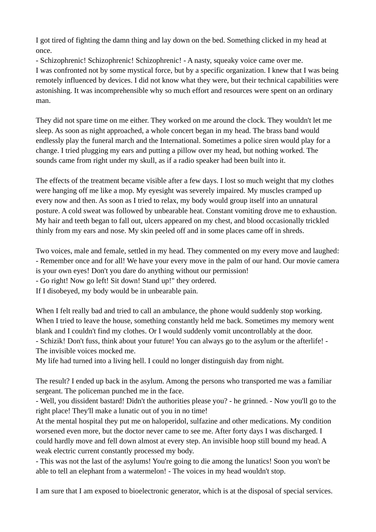I got tired of fighting the damn thing and lay down on the bed. Something clicked in my head at once.

- Schizophrenic! Schizophrenic! Schizophrenic! - A nasty, squeaky voice came over me.

I was confronted not by some mystical force, but by a specific organization. I knew that I was being remotely influenced by devices. I did not know what they were, but their technical capabilities were astonishing. It was incomprehensible why so much effort and resources were spent on an ordinary man.

They did not spare time on me either. They worked on me around the clock. They wouldn't let me sleep. As soon as night approached, a whole concert began in my head. The brass band would endlessly play the funeral march and the International. Sometimes a police siren would play for a change. I tried plugging my ears and putting a pillow over my head, but nothing worked. The sounds came from right under my skull, as if a radio speaker had been built into it.

The effects of the treatment became visible after a few days. I lost so much weight that my clothes were hanging off me like a mop. My eyesight was severely impaired. My muscles cramped up every now and then. As soon as I tried to relax, my body would group itself into an unnatural posture. A cold sweat was followed by unbearable heat. Constant vomiting drove me to exhaustion. My hair and teeth began to fall out, ulcers appeared on my chest, and blood occasionally trickled thinly from my ears and nose. My skin peeled off and in some places came off in shreds.

Two voices, male and female, settled in my head. They commented on my every move and laughed: - Remember once and for all! We have your every move in the palm of our hand. Our movie camera is your own eyes! Don't you dare do anything without our permission!

- Go right! Now go left! Sit down! Stand up!" they ordered.

If I disobeyed, my body would be in unbearable pain.

When I felt really bad and tried to call an ambulance, the phone would suddenly stop working. When I tried to leave the house, something constantly held me back. Sometimes my memory went blank and I couldn't find my clothes. Or I would suddenly vomit uncontrollably at the door. - Schizik! Don't fuss, think about your future! You can always go to the asylum or the afterlife! - The invisible voices mocked me.

My life had turned into a living hell. I could no longer distinguish day from night.

The result? I ended up back in the asylum. Among the persons who transported me was a familiar sergeant. The policeman punched me in the face.

- Well, you dissident bastard! Didn't the authorities please you? - he grinned. - Now you'll go to the right place! They'll make a lunatic out of you in no time!

At the mental hospital they put me on haloperidol, sulfazine and other medications. My condition worsened even more, but the doctor never came to see me. After forty days I was discharged. I could hardly move and fell down almost at every step. An invisible hoop still bound my head. A weak electric current constantly processed my body.

- This was not the last of the asylums! You're going to die among the lunatics! Soon you won't be able to tell an elephant from a watermelon! - The voices in my head wouldn't stop.

I am sure that I am exposed to bioelectronic generator, which is at the disposal of special services.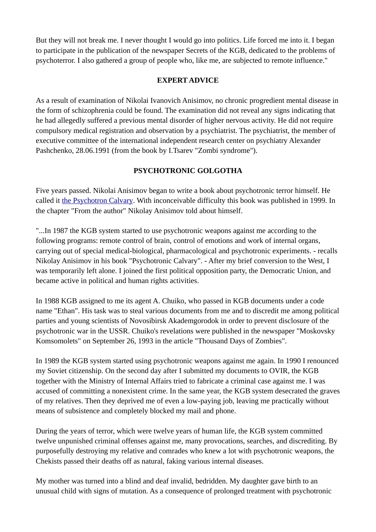But they will not break me. I never thought I would go into politics. Life forced me into it. I began to participate in the publication of the newspaper Secrets of the KGB, dedicated to the problems of psychoterror. I also gathered a group of people who, like me, are subjected to remote influence."

### **EXPERT ADVICE**

As a result of examination of Nikolai Ivanovich Anisimov, no chronic progredient mental disease in the form of schizophrenia could be found. The examination did not reveal any signs indicating that he had allegedly suffered a previous mental disorder of higher nervous activity. He did not require compulsory medical registration and observation by a psychiatrist. The psychiatrist, the member of executive committee of the international independent research center on psychiatry Alexander Pashchenko, 28.06.1991 (from the book by I.Tsarev "Zombi syndrome").

## **PSYCHOTRONIC GOLGOTHA**

Five years passed. Nikolai Anisimov began to write a book about psychotronic terror himself. He called it the Psychotron Calvary. With inconceivable difficulty this book was published in 1999. In the chapter "From the author" Nikolay Anisimov told about himself.

"...In 1987 the KGB system started to use psychotronic weapons against me according to the following programs: remote control of brain, control of emotions and work of internal organs, carrying out of special medical-biological, pharmacological and psychotronic experiments. - recalls Nikolay Anisimov in his book "Psychotronic Calvary". - After my brief conversion to the West, I was temporarily left alone. I joined the first political opposition party, the Democratic Union, and became active in political and human rights activities.

In 1988 KGB assigned to me its agent A. Chuiko, who passed in KGB documents under a code name "Ethan". His task was to steal various documents from me and to discredit me among political parties and young scientists of Novosibirsk Akademgorodok in order to prevent disclosure of the psychotronic war in the USSR. Chuiko's revelations were published in the newspaper "Moskovsky Komsomolets" on September 26, 1993 in the article "Thousand Days of Zombies".

In 1989 the KGB system started using psychotronic weapons against me again. In 1990 I renounced my Soviet citizenship. On the second day after I submitted my documents to OVIR, the KGB together with the Ministry of Internal Affairs tried to fabricate a criminal case against me. I was accused of committing a nonexistent crime. In the same year, the KGB system desecrated the graves of my relatives. Then they deprived me of even a low-paying job, leaving me practically without means of subsistence and completely blocked my mail and phone.

During the years of terror, which were twelve years of human life, the KGB system committed twelve unpunished criminal offenses against me, many provocations, searches, and discrediting. By purposefully destroying my relative and comrades who knew a lot with psychotronic weapons, the Chekists passed their deaths off as natural, faking various internal diseases.

My mother was turned into a blind and deaf invalid, bedridden. My daughter gave birth to an unusual child with signs of mutation. As a consequence of prolonged treatment with psychotronic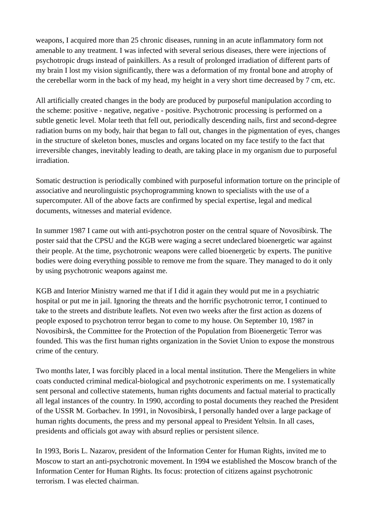weapons, I acquired more than 25 chronic diseases, running in an acute inflammatory form not amenable to any treatment. I was infected with several serious diseases, there were injections of psychotropic drugs instead of painkillers. As a result of prolonged irradiation of different parts of my brain I lost my vision significantly, there was a deformation of my frontal bone and atrophy of the cerebellar worm in the back of my head, my height in a very short time decreased by 7 cm, etc.

All artificially created changes in the body are produced by purposeful manipulation according to the scheme: positive - negative, negative - positive. Psychotronic processing is performed on a subtle genetic level. Molar teeth that fell out, periodically descending nails, first and second-degree radiation burns on my body, hair that began to fall out, changes in the pigmentation of eyes, changes in the structure of skeleton bones, muscles and organs located on my face testify to the fact that irreversible changes, inevitably leading to death, are taking place in my organism due to purposeful irradiation.

Somatic destruction is periodically combined with purposeful information torture on the principle of associative and neurolinguistic psychoprogramming known to specialists with the use of a supercomputer. All of the above facts are confirmed by special expertise, legal and medical documents, witnesses and material evidence.

In summer 1987 I came out with anti-psychotron poster on the central square of Novosibirsk. The poster said that the CPSU and the KGB were waging a secret undeclared bioenergetic war against their people. At the time, psychotronic weapons were called bioenergetic by experts. The punitive bodies were doing everything possible to remove me from the square. They managed to do it only by using psychotronic weapons against me.

KGB and Interior Ministry warned me that if I did it again they would put me in a psychiatric hospital or put me in jail. Ignoring the threats and the horrific psychotronic terror, I continued to take to the streets and distribute leaflets. Not even two weeks after the first action as dozens of people exposed to psychotron terror began to come to my house. On September 10, 1987 in Novosibirsk, the Committee for the Protection of the Population from Bioenergetic Terror was founded. This was the first human rights organization in the Soviet Union to expose the monstrous crime of the century.

Two months later, I was forcibly placed in a local mental institution. There the Mengeliers in white coats conducted criminal medical-biological and psychotronic experiments on me. I systematically sent personal and collective statements, human rights documents and factual material to practically all legal instances of the country. In 1990, according to postal documents they reached the President of the USSR M. Gorbachev. In 1991, in Novosibirsk, I personally handed over a large package of human rights documents, the press and my personal appeal to President Yeltsin. In all cases, presidents and officials got away with absurd replies or persistent silence.

In 1993, Boris L. Nazarov, president of the Information Center for Human Rights, invited me to Moscow to start an anti-psychotronic movement. In 1994 we established the Moscow branch of the Information Center for Human Rights. Its focus: protection of citizens against psychotronic terrorism. I was elected chairman.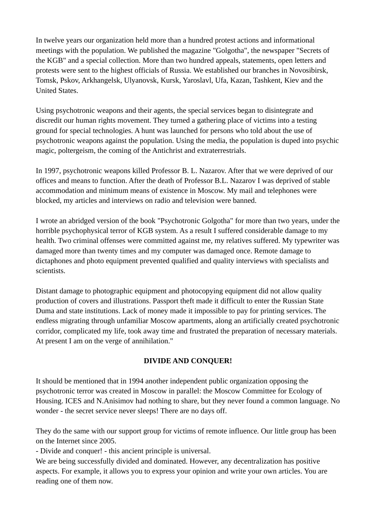In twelve years our organization held more than a hundred protest actions and informational meetings with the population. We published the magazine "Golgotha", the newspaper "Secrets of the KGB" and a special collection. More than two hundred appeals, statements, open letters and protests were sent to the highest officials of Russia. We established our branches in Novosibirsk, Tomsk, Pskov, Arkhangelsk, Ulyanovsk, Kursk, Yaroslavl, Ufa, Kazan, Tashkent, Kiev and the United States.

Using psychotronic weapons and their agents, the special services began to disintegrate and discredit our human rights movement. They turned a gathering place of victims into a testing ground for special technologies. A hunt was launched for persons who told about the use of psychotronic weapons against the population. Using the media, the population is duped into psychic magic, poltergeism, the coming of the Antichrist and extraterrestrials.

In 1997, psychotronic weapons killed Professor B. L. Nazarov. After that we were deprived of our offices and means to function. After the death of Professor B.L. Nazarov I was deprived of stable accommodation and minimum means of existence in Moscow. My mail and telephones were blocked, my articles and interviews on radio and television were banned.

I wrote an abridged version of the book "Psychotronic Golgotha" for more than two years, under the horrible psychophysical terror of KGB system. As a result I suffered considerable damage to my health. Two criminal offenses were committed against me, my relatives suffered. My typewriter was damaged more than twenty times and my computer was damaged once. Remote damage to dictaphones and photo equipment prevented qualified and quality interviews with specialists and scientists.

Distant damage to photographic equipment and photocopying equipment did not allow quality production of covers and illustrations. Passport theft made it difficult to enter the Russian State Duma and state institutions. Lack of money made it impossible to pay for printing services. The endless migrating through unfamiliar Moscow apartments, along an artificially created psychotronic corridor, complicated my life, took away time and frustrated the preparation of necessary materials. At present I am on the verge of annihilation."

## **DIVIDE AND CONQUER!**

It should be mentioned that in 1994 another independent public organization opposing the psychotronic terror was created in Moscow in parallel: the Moscow Committee for Ecology of Housing. ICES and N.Anisimov had nothing to share, but they never found a common language. No wonder - the secret service never sleeps! There are no days off.

They do the same with our support group for victims of remote influence. Our little group has been on the Internet since 2005.

- Divide and conquer! - this ancient principle is universal.

We are being successfully divided and dominated. However, any decentralization has positive aspects. For example, it allows you to express your opinion and write your own articles. You are reading one of them now.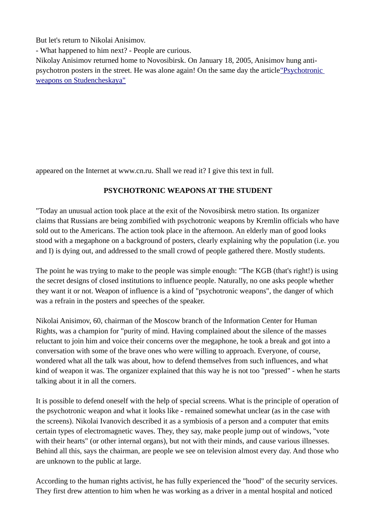But let's return to Nikolai Anisimov.

- What happened to him next? - People are curious.

Nikolay Anisimov returned home to Novosibirsk. On January 18, 2005, Anisimov hung antipsychotron posters in the street. He was alone again! On the same day the article"Psychotronic weapons on Studencheskaya"

appeared on the Internet at www.cn.ru. Shall we read it? I give this text in full.

### **PSYCHOTRONIC WEAPONS AT THE STUDENT**

"Today an unusual action took place at the exit of the Novosibirsk metro station. Its organizer claims that Russians are being zombified with psychotronic weapons by Kremlin officials who have sold out to the Americans. The action took place in the afternoon. An elderly man of good looks stood with a megaphone on a background of posters, clearly explaining why the population (i.e. you and I) is dying out, and addressed to the small crowd of people gathered there. Mostly students.

The point he was trying to make to the people was simple enough: "The KGB (that's right!) is using the secret designs of closed institutions to influence people. Naturally, no one asks people whether they want it or not. Weapon of influence is a kind of "psychotronic weapons", the danger of which was a refrain in the posters and speeches of the speaker.

Nikolai Anisimov, 60, chairman of the Moscow branch of the Information Center for Human Rights, was a champion for "purity of mind. Having complained about the silence of the masses reluctant to join him and voice their concerns over the megaphone, he took a break and got into a conversation with some of the brave ones who were willing to approach. Everyone, of course, wondered what all the talk was about, how to defend themselves from such influences, and what kind of weapon it was. The organizer explained that this way he is not too "pressed" - when he starts talking about it in all the corners.

It is possible to defend oneself with the help of special screens. What is the principle of operation of the psychotronic weapon and what it looks like - remained somewhat unclear (as in the case with the screens). Nikolai Ivanovich described it as a symbiosis of a person and a computer that emits certain types of electromagnetic waves. They, they say, make people jump out of windows, "vote with their hearts" (or other internal organs), but not with their minds, and cause various illnesses. Behind all this, says the chairman, are people we see on television almost every day. And those who are unknown to the public at large.

According to the human rights activist, he has fully experienced the "hood" of the security services. They first drew attention to him when he was working as a driver in a mental hospital and noticed